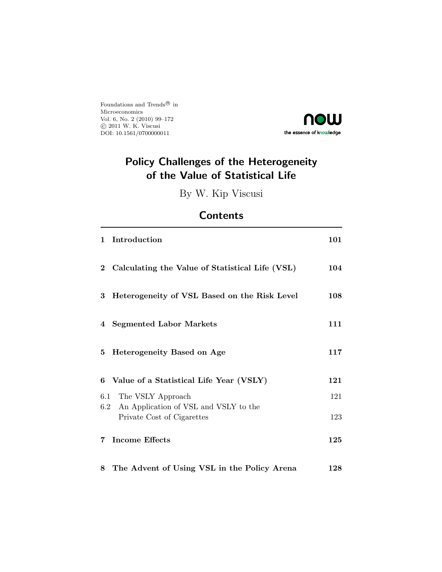Foundations and  $\operatorname{Trends}^{\textcircledR}$  in Microeconomics Vol. 6, No. 2 (2010) 99–172  $\odot$  2011 W. K. Viscusi DOI: 10.1561/0700000011



## **Policy Challenges of the Heterogeneity of the Value of Statistical Life**

By W. Kip Viscusi

### **Contents**

|             | 1 Introduction                                                      | 101 |
|-------------|---------------------------------------------------------------------|-----|
| $2^{\circ}$ | Calculating the Value of Statistical Life (VSL)                     | 104 |
| 3           | Heterogeneity of VSL Based on the Risk Level                        | 108 |
|             | 4 Segmented Labor Markets                                           | 111 |
|             | 5 Heterogeneity Based on Age                                        | 117 |
|             | 6 Value of a Statistical Life Year (VSLY)                           | 121 |
|             | 6.1 The VSLY Approach                                               | 121 |
| 6.2         | An Application of VSL and VSLY to the<br>Private Cost of Cigarettes | 123 |
| $7\,$       | <b>Income Effects</b>                                               | 125 |
|             | 8 The Advent of Using VSL in the Policy Arena                       | 128 |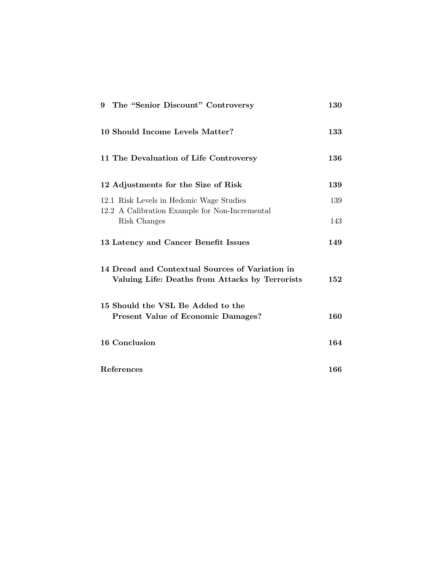| 9 The "Senior Discount" Controversy                                                                | 130        |
|----------------------------------------------------------------------------------------------------|------------|
| 10 Should Income Levels Matter?                                                                    | 133        |
| 11 The Devaluation of Life Controversy                                                             | 136        |
| 12 Adjustments for the Size of Risk                                                                | 139        |
| 12.1 Risk Levels in Hedonic Wage Studies<br>12.2 A Calibration Example for Non-Incremental         | 139        |
| Risk Changes                                                                                       | 143        |
| 13 Latency and Cancer Benefit Issues                                                               | 149        |
| 14 Dread and Contextual Sources of Variation in<br>Valuing Life: Deaths from Attacks by Terrorists | 152        |
| 15 Should the VSL Be Added to the                                                                  |            |
| <b>Present Value of Economic Damages?</b>                                                          | <b>160</b> |
| 16 Conclusion                                                                                      | 164        |
| References                                                                                         | 166        |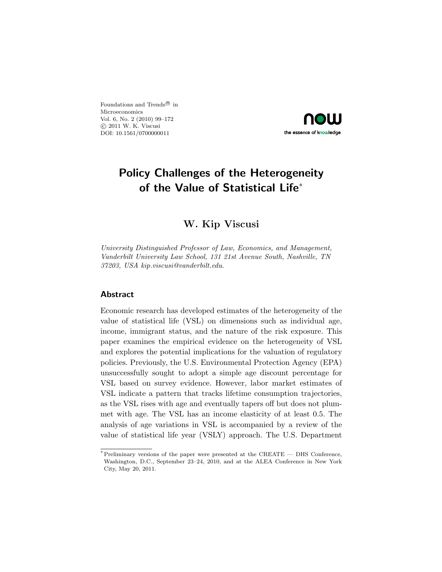Foundations and Trends $^{\textcircled{\tiny{\textregistered}}}$  in Microeconomics Vol. 6, No. 2 (2010) 99–172 c 2011 W. K. Viscusi DOI: 10.1561/0700000011



## **Policy Challenges of the Heterogeneity of the Value of Statistical Life**<sup>∗</sup>

### **W. Kip Viscusi**

*University Distinguished Professor of Law, Economics, and Management, Vanderbilt University Law School, 131 21st Avenue South, Nashville, TN 37203, USA kip.viscusi@vanderbilt.edu.*

#### **Abstract**

Economic research has developed estimates of the heterogeneity of the value of statistical life (VSL) on dimensions such as individual age, income, immigrant status, and the nature of the risk exposure. This paper examines the empirical evidence on the heterogeneity of VSL and explores the potential implications for the valuation of regulatory policies. Previously, the U.S. Environmental Protection Agency (EPA) unsuccessfully sought to adopt a simple age discount percentage for VSL based on survey evidence. However, labor market estimates of VSL indicate a pattern that tracks lifetime consumption trajectories, as the VSL rises with age and eventually tapers off but does not plummet with age. The VSL has an income elasticity of at least 0.5. The analysis of age variations in VSL is accompanied by a review of the value of statistical life year (VSLY) approach. The U.S. Department

<sup>\*</sup> Preliminary versions of the paper were presented at the CREATE — DHS Conference, Washington, D.C., September 23–24, 2010, and at the ALEA Conference in New York City, May 20, 2011.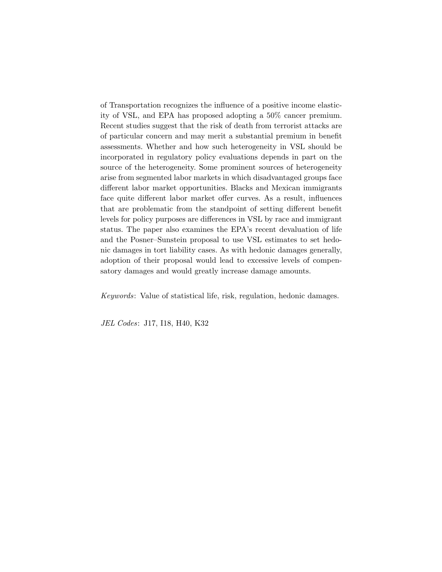of Transportation recognizes the influence of a positive income elasticity of VSL, and EPA has proposed adopting a 50% cancer premium. Recent studies suggest that the risk of death from terrorist attacks are of particular concern and may merit a substantial premium in benefit assessments. Whether and how such heterogeneity in VSL should be incorporated in regulatory policy evaluations depends in part on the source of the heterogeneity. Some prominent sources of heterogeneity arise from segmented labor markets in which disadvantaged groups face different labor market opportunities. Blacks and Mexican immigrants face quite different labor market offer curves. As a result, influences that are problematic from the standpoint of setting different benefit levels for policy purposes are differences in VSL by race and immigrant status. The paper also examines the EPA's recent devaluation of life and the Posner–Sunstein proposal to use VSL estimates to set hedonic damages in tort liability cases. As with hedonic damages generally, adoption of their proposal would lead to excessive levels of compensatory damages and would greatly increase damage amounts.

*Keywords*: Value of statistical life, risk, regulation, hedonic damages.

*JEL Codes*: J17, I18, H40, K32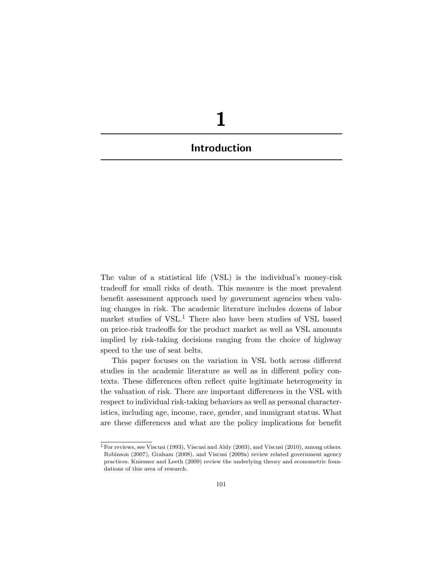# **1 Introduction**

The value of a statistical life (VSL) is the individual's money-risk tradeoff for small risks of death. This measure is the most prevalent benefit assessment approach used by government agencies when valuing changes in risk. The academic literature includes dozens of labor market studies of VSL.<sup>1</sup> There also have been studies of VSL based on price-risk tradeoffs for the product market as well as VSL amounts implied by risk-taking decisions ranging from the choice of highway speed to the use of seat belts.

This paper focuses on the variation in VSL both across different studies in the academic literature as well as in different policy contexts. These differences often reflect quite legitimate heterogeneity in the valuation of risk. There are important differences in the VSL with respect to individual risk-taking behaviors as well as personal characteristics, including age, income, race, gender, and immigrant status. What are these differences and what are the policy implications for benefit

<sup>&</sup>lt;sup>1</sup> For reviews, see Viscusi (1993), Viscusi and Aldy (2003), and Viscusi (2010), among others. Robinson (2007), Graham (2008), and Viscusi (2009a) review related government agency practices. Kniesner and Leeth (2009) review the underlying theory and econometric foundations of this area of research.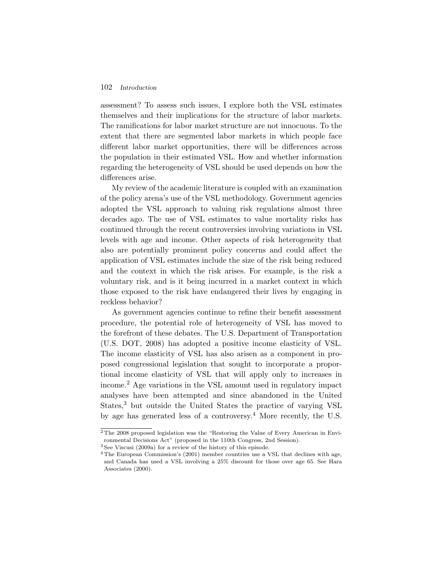#### 102 *Introduction*

assessment? To assess such issues, I explore both the VSL estimates themselves and their implications for the structure of labor markets. The ramifications for labor market structure are not innocuous. To the extent that there are segmented labor markets in which people face different labor market opportunities, there will be differences across the population in their estimated VSL. How and whether information regarding the heterogeneity of VSL should be used depends on how the differences arise.

My review of the academic literature is coupled with an examination of the policy arena's use of the VSL methodology. Government agencies adopted the VSL approach to valuing risk regulations almost three decades ago. The use of VSL estimates to value mortality risks has continued through the recent controversies involving variations in VSL levels with age and income. Other aspects of risk heterogeneity that also are potentially prominent policy concerns and could affect the application of VSL estimates include the size of the risk being reduced and the context in which the risk arises. For example, is the risk a voluntary risk, and is it being incurred in a market context in which those exposed to the risk have endangered their lives by engaging in reckless behavior?

As government agencies continue to refine their benefit assessment procedure, the potential role of heterogeneity of VSL has moved to the forefront of these debates. The U.S. Department of Transportation (U.S. DOT, 2008) has adopted a positive income elasticity of VSL. The income elasticity of VSL has also arisen as a component in proposed congressional legislation that sought to incorporate a proportional income elasticity of VSL that will apply only to increases in income.<sup>2</sup> Age variations in the VSL amount used in regulatory impact analyses have been attempted and since abandoned in the United States,<sup>3</sup> but outside the United States the practice of varying VSL by age has generated less of a controversy.<sup>4</sup> More recently, the U.S.

<sup>2</sup> The 2008 proposed legislation was the "Restoring the Value of Every American in Environmental Decisions Act" (proposed in the 110th Congress, 2nd Session).

<sup>3</sup> See Viscusi (2009a) for a review of the history of this episode.

<sup>4</sup> The European Commission's (2001) member countries use a VSL that declines with age, and Canada has used a VSL involving a 25% discount for those over age 65. See Hara Associates (2000).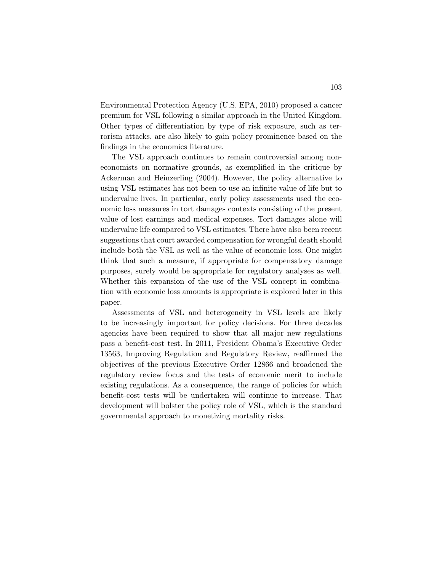Environmental Protection Agency (U.S. EPA, 2010) proposed a cancer premium for VSL following a similar approach in the United Kingdom. Other types of differentiation by type of risk exposure, such as terrorism attacks, are also likely to gain policy prominence based on the findings in the economics literature.

The VSL approach continues to remain controversial among noneconomists on normative grounds, as exemplified in the critique by Ackerman and Heinzerling (2004). However, the policy alternative to using VSL estimates has not been to use an infinite value of life but to undervalue lives. In particular, early policy assessments used the economic loss measures in tort damages contexts consisting of the present value of lost earnings and medical expenses. Tort damages alone will undervalue life compared to VSL estimates. There have also been recent suggestions that court awarded compensation for wrongful death should include both the VSL as well as the value of economic loss. One might think that such a measure, if appropriate for compensatory damage purposes, surely would be appropriate for regulatory analyses as well. Whether this expansion of the use of the VSL concept in combination with economic loss amounts is appropriate is explored later in this paper.

Assessments of VSL and heterogeneity in VSL levels are likely to be increasingly important for policy decisions. For three decades agencies have been required to show that all major new regulations pass a benefit-cost test. In 2011, President Obama's Executive Order 13563, Improving Regulation and Regulatory Review, reaffirmed the objectives of the previous Executive Order 12866 and broadened the regulatory review focus and the tests of economic merit to include existing regulations. As a consequence, the range of policies for which benefit-cost tests will be undertaken will continue to increase. That development will bolster the policy role of VSL, which is the standard governmental approach to monetizing mortality risks.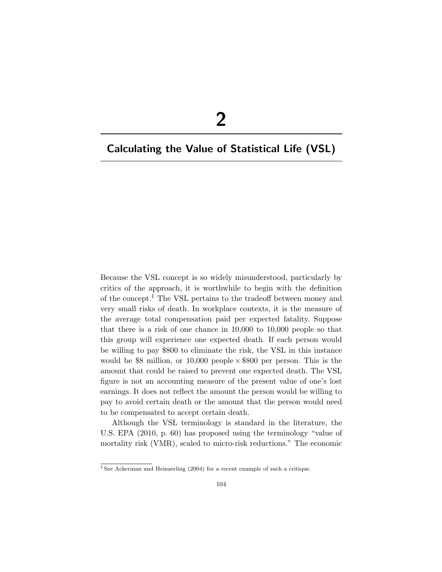## **Calculating the Value of Statistical Life (VSL)**

Because the VSL concept is so widely misunderstood, particularly by critics of the approach, it is worthwhile to begin with the definition of the concept.<sup>1</sup> The VSL pertains to the tradeoff between money and very small risks of death. In workplace contexts, it is the measure of the average total compensation paid per expected fatality. Suppose that there is a risk of one chance in 10,000 to 10,000 people so that this group will experience one expected death. If each person would be willing to pay \$800 to eliminate the risk, the VSL in this instance would be \$8 million, or 10,000 people  $\times$  \$800 per person. This is the amount that could be raised to prevent one expected death. The VSL figure is not an accounting measure of the present value of one's lost earnings. It does not reflect the amount the person would be willing to pay to avoid certain death or the amount that the person would need to be compensated to accept certain death.

Although the VSL terminology is standard in the literature, the U.S. EPA (2010, p. 60) has proposed using the terminology "value of mortality risk (VMR), scaled to micro-risk reductions." The economic

<sup>&</sup>lt;sup>1</sup> See Ackerman and Heinzerling (2004) for a recent example of such a critique.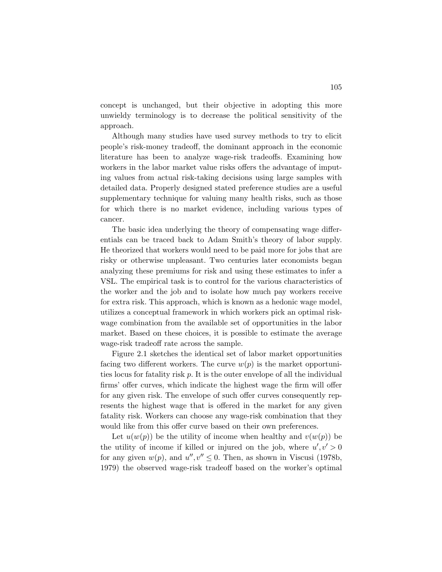concept is unchanged, but their objective in adopting this more unwieldy terminology is to decrease the political sensitivity of the approach.

Although many studies have used survey methods to try to elicit people's risk-money tradeoff, the dominant approach in the economic literature has been to analyze wage-risk tradeoffs. Examining how workers in the labor market value risks offers the advantage of imputing values from actual risk-taking decisions using large samples with detailed data. Properly designed stated preference studies are a useful supplementary technique for valuing many health risks, such as those for which there is no market evidence, including various types of cancer.

The basic idea underlying the theory of compensating wage differentials can be traced back to Adam Smith's theory of labor supply. He theorized that workers would need to be paid more for jobs that are risky or otherwise unpleasant. Two centuries later economists began analyzing these premiums for risk and using these estimates to infer a VSL. The empirical task is to control for the various characteristics of the worker and the job and to isolate how much pay workers receive for extra risk. This approach, which is known as a hedonic wage model, utilizes a conceptual framework in which workers pick an optimal riskwage combination from the available set of opportunities in the labor market. Based on these choices, it is possible to estimate the average wage-risk tradeoff rate across the sample.

Figure 2.1 sketches the identical set of labor market opportunities facing two different workers. The curve  $w(p)$  is the market opportunities locus for fatality risk p. It is the outer envelope of all the individual firms' offer curves, which indicate the highest wage the firm will offer for any given risk. The envelope of such offer curves consequently represents the highest wage that is offered in the market for any given fatality risk. Workers can choose any wage-risk combination that they would like from this offer curve based on their own preferences.

Let  $u(w(p))$  be the utility of income when healthy and  $v(w(p))$  be the utility of income if killed or injured on the job, where  $u', v' > 0$ for any given  $w(p)$ , and  $u''$ ,  $v'' \le 0$ . Then, as shown in Viscusi (1978b, 1979) the observed wage-risk tradeoff based on the worker's optimal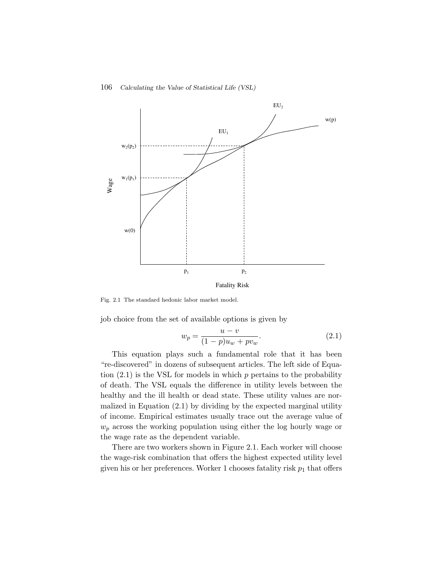#### 106 *Calculating the Value of Statistical Life (VSL)*



Fig. 2.1 The standard hedonic labor market model.

job choice from the set of available options is given by

$$
w_p = \frac{u - v}{(1 - p)u_w + pv_w}.
$$
\n(2.1)

This equation plays such a fundamental role that it has been "re-discovered" in dozens of subsequent articles. The left side of Equation  $(2.1)$  is the VSL for models in which p pertains to the probability of death. The VSL equals the difference in utility levels between the healthy and the ill health or dead state. These utility values are normalized in Equation (2.1) by dividing by the expected marginal utility of income. Empirical estimates usually trace out the average value of  $w_p$  across the working population using either the log hourly wage or the wage rate as the dependent variable.

There are two workers shown in Figure 2.1. Each worker will choose the wage-risk combination that offers the highest expected utility level given his or her preferences. Worker 1 chooses fatality risk  $p_1$  that offers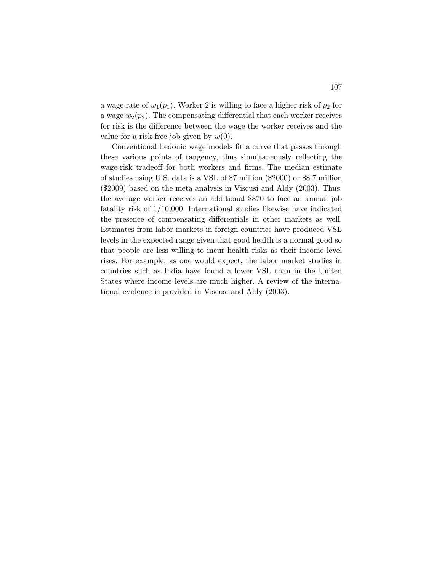a wage rate of  $w_1(p_1)$ . Worker 2 is willing to face a higher risk of  $p_2$  for a wage  $w_2(p_2)$ . The compensating differential that each worker receives for risk is the difference between the wage the worker receives and the value for a risk-free job given by  $w(0)$ .

Conventional hedonic wage models fit a curve that passes through these various points of tangency, thus simultaneously reflecting the wage-risk tradeoff for both workers and firms. The median estimate of studies using U.S. data is a VSL of \$7 million (\$2000) or \$8.7 million (\$2009) based on the meta analysis in Viscusi and Aldy (2003). Thus, the average worker receives an additional \$870 to face an annual job fatality risk of 1/10,000. International studies likewise have indicated the presence of compensating differentials in other markets as well. Estimates from labor markets in foreign countries have produced VSL levels in the expected range given that good health is a normal good so that people are less willing to incur health risks as their income level rises. For example, as one would expect, the labor market studies in countries such as India have found a lower VSL than in the United States where income levels are much higher. A review of the international evidence is provided in Viscusi and Aldy (2003).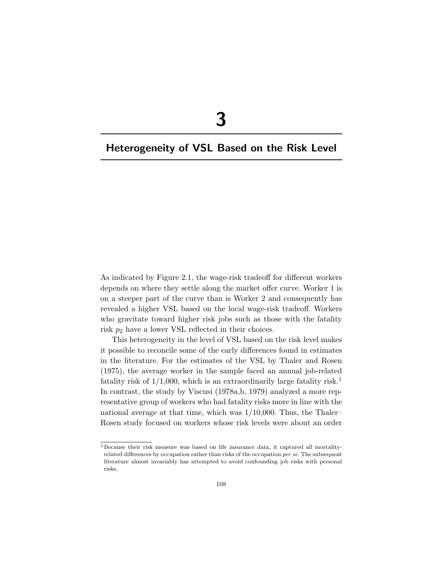### **Heterogeneity of VSL Based on the Risk Level**

As indicated by Figure 2.1, the wage-risk tradeoff for different workers depends on where they settle along the market offer curve. Worker 1 is on a steeper part of the curve than is Worker 2 and consequently has revealed a higher VSL based on the local wage-risk tradeoff. Workers who gravitate toward higher risk jobs such as those with the fatality risk  $p_2$  have a lower VSL reflected in their choices.

This heterogeneity in the level of VSL based on the risk level makes it possible to reconcile some of the early differences found in estimates in the literature. For the estimates of the VSL by Thaler and Rosen (1975), the average worker in the sample faced an annual job-related fatality risk of  $1/1,000$ , which is an extraordinarily large fatality risk.<sup>1</sup> In contrast, the study by Viscusi (1978a,b, 1979) analyzed a more representative group of workers who had fatality risks more in line with the national average at that time, which was 1/10,000. Thus, the Thaler– Rosen study focused on workers whose risk levels were about an order

<sup>1</sup> Because their risk measure was based on life insurance data, it captured all mortalityrelated differences by occupation rather than risks of the occupation per se. The subsequent literature almost invariably has attempted to avoid confounding job risks with personal risks.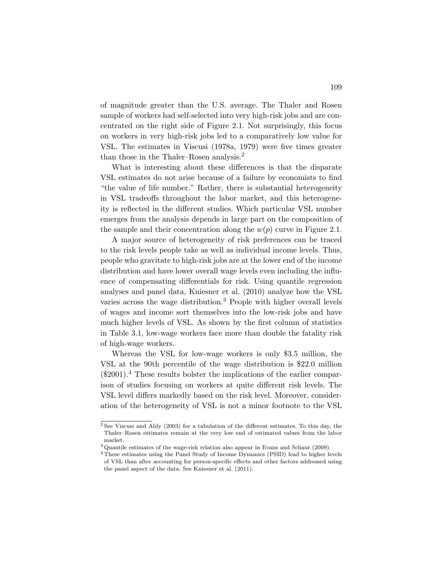of magnitude greater than the U.S. average. The Thaler and Rosen sample of workers had self-selected into very high-risk jobs and are concentrated on the right side of Figure 2.1. Not surprisingly, this focus on workers in very high-risk jobs led to a comparatively low value for VSL. The estimates in Viscusi (1978a, 1979) were five times greater than those in the Thaler–Rosen analysis.<sup>2</sup>

What is interesting about these differences is that the disparate VSL estimates do not arise because of a failure by economists to find "the value of life number." Rather, there is substantial heterogeneity in VSL tradeoffs throughout the labor market, and this heterogeneity is reflected in the different studies. Which particular VSL number emerges from the analysis depends in large part on the composition of the sample and their concentration along the  $w(p)$  curve in Figure 2.1.

A major source of heterogeneity of risk preferences can be traced to the risk levels people take as well as individual income levels. Thus, people who gravitate to high-risk jobs are at the lower end of the income distribution and have lower overall wage levels even including the influence of compensating differentials for risk. Using quantile regression analyses and panel data, Kniesner et al. (2010) analyze how the VSL varies across the wage distribution.<sup>3</sup> People with higher overall levels of wages and income sort themselves into the low-risk jobs and have much higher levels of VSL. As shown by the first column of statistics in Table 3.1, low-wage workers face more than double the fatality risk of high-wage workers.

Whereas the VSL for low-wage workers is only \$3.5 million, the VSL at the 90th percentile of the wage distribution is \$22.0 million  $(\$2001).4$  These results bolster the implications of the earlier comparison of studies focusing on workers at quite different risk levels. The VSL level differs markedly based on the risk level. Moreover, consideration of the heterogeneity of VSL is not a minor footnote to the VSL

<sup>2</sup> See Viscusi and Aldy (2003) for a tabulation of the different estimates. To this day, the Thaler–Rosen estimates remain at the very low end of estimated values from the labor market.

<sup>3</sup> Quantile estimates of the wage-risk relation also appear in Evans and Schaur (2009).

<sup>4</sup> These estimates using the Panel Study of Income Dynamics (PSID) lead to higher levels of VSL than after accounting for person-specific effects and other factors addressed using the panel aspect of the data. See Kniesner et al. (2011).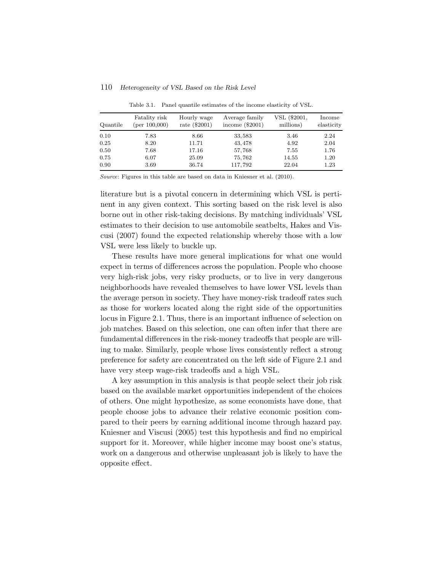#### 110 *Heterogeneity of VSL Based on the Risk Level*

| Quantile | Fatality risk<br>(per 100,000) | Hourly wage<br>rate $(\$2001)$ | Average family<br>income $(\$2001)$ | VSL (\$2001,<br>millions) | Income<br>elasticity |
|----------|--------------------------------|--------------------------------|-------------------------------------|---------------------------|----------------------|
| 0.10     | 7.83                           | 8.66                           | 33,583                              | 3.46                      | 2.24                 |
| 0.25     | 8.20                           | 11.71                          | 43, 478                             | 4.92                      | 2.04                 |
| 0.50     | 7.68                           | 17.16                          | 57,768                              | 7.55                      | 1.76                 |
| 0.75     | 6.07                           | 25.09                          | 75,762                              | 14.55                     | 1.20                 |
| 0.90     | 3.69                           | 36.74                          | 117,792                             | 22.04                     | 1.23                 |
|          |                                |                                |                                     |                           |                      |

Table 3.1. Panel quantile estimates of the income elasticity of VSL.

Source: Figures in this table are based on data in Kniesner et al. (2010).

literature but is a pivotal concern in determining which VSL is pertinent in any given context. This sorting based on the risk level is also borne out in other risk-taking decisions. By matching individuals' VSL estimates to their decision to use automobile seatbelts, Hakes and Viscusi (2007) found the expected relationship whereby those with a low VSL were less likely to buckle up.

These results have more general implications for what one would expect in terms of differences across the population. People who choose very high-risk jobs, very risky products, or to live in very dangerous neighborhoods have revealed themselves to have lower VSL levels than the average person in society. They have money-risk tradeoff rates such as those for workers located along the right side of the opportunities locus in Figure 2.1. Thus, there is an important influence of selection on job matches. Based on this selection, one can often infer that there are fundamental differences in the risk-money tradeoffs that people are willing to make. Similarly, people whose lives consistently reflect a strong preference for safety are concentrated on the left side of Figure 2.1 and have very steep wage-risk tradeoffs and a high VSL.

A key assumption in this analysis is that people select their job risk based on the available market opportunities independent of the choices of others. One might hypothesize, as some economists have done, that people choose jobs to advance their relative economic position compared to their peers by earning additional income through hazard pay. Kniesner and Viscusi (2005) test this hypothesis and find no empirical support for it. Moreover, while higher income may boost one's status, work on a dangerous and otherwise unpleasant job is likely to have the opposite effect.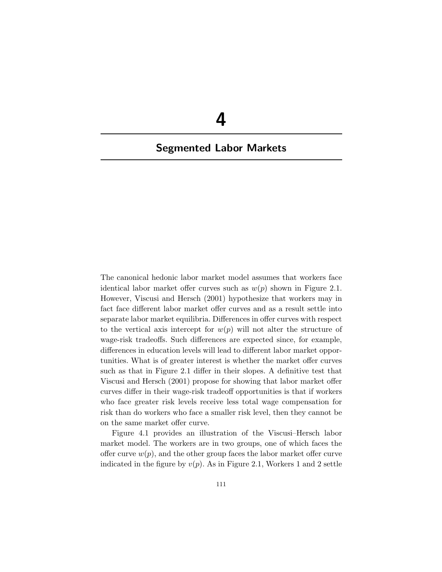### **Segmented Labor Markets**

The canonical hedonic labor market model assumes that workers face identical labor market offer curves such as  $w(p)$  shown in Figure 2.1. However, Viscusi and Hersch (2001) hypothesize that workers may in fact face different labor market offer curves and as a result settle into separate labor market equilibria. Differences in offer curves with respect to the vertical axis intercept for  $w(p)$  will not alter the structure of wage-risk tradeoffs. Such differences are expected since, for example, differences in education levels will lead to different labor market opportunities. What is of greater interest is whether the market offer curves such as that in Figure 2.1 differ in their slopes. A definitive test that Viscusi and Hersch (2001) propose for showing that labor market offer curves differ in their wage-risk tradeoff opportunities is that if workers who face greater risk levels receive less total wage compensation for risk than do workers who face a smaller risk level, then they cannot be on the same market offer curve.

Figure 4.1 provides an illustration of the Viscusi–Hersch labor market model. The workers are in two groups, one of which faces the offer curve  $w(p)$ , and the other group faces the labor market offer curve indicated in the figure by  $v(p)$ . As in Figure 2.1, Workers 1 and 2 settle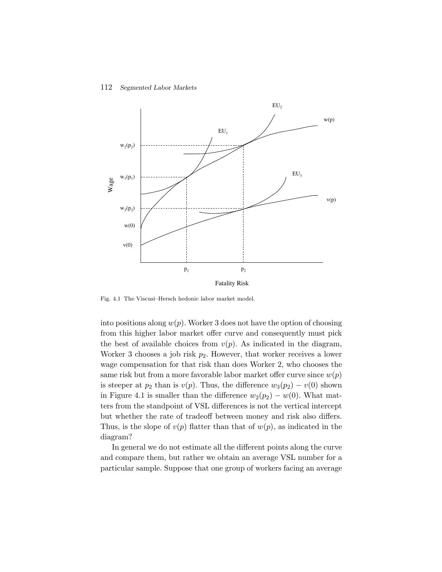#### 112 *Segmented Labor Markets*



Fig. 4.1 The Viscusi–Hersch hedonic labor market model.

into positions along  $w(p)$ . Worker 3 does not have the option of choosing from this higher labor market offer curve and consequently must pick the best of available choices from  $v(p)$ . As indicated in the diagram, Worker 3 chooses a job risk  $p_2$ . However, that worker receives a lower wage compensation for that risk than does Worker 2, who chooses the same risk but from a more favorable labor market offer curve since  $w(p)$ is steeper at  $p_2$  than is  $v(p)$ . Thus, the difference  $w_3(p_2) - v(0)$  shown in Figure 4.1 is smaller than the difference  $w_2(p_2) - w(0)$ . What matters from the standpoint of VSL differences is not the vertical intercept but whether the rate of tradeoff between money and risk also differs. Thus, is the slope of  $v(p)$  flatter than that of  $w(p)$ , as indicated in the diagram?

In general we do not estimate all the different points along the curve and compare them, but rather we obtain an average VSL number for a particular sample. Suppose that one group of workers facing an average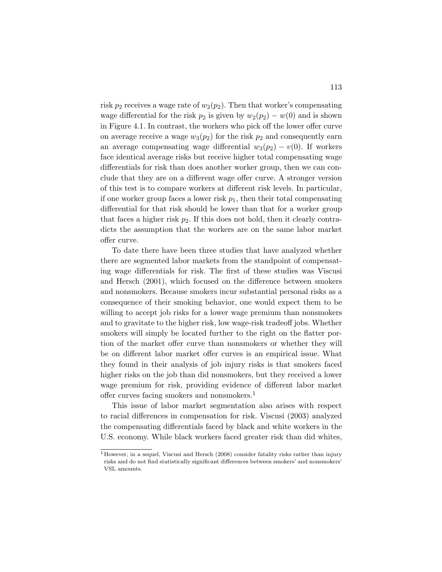risk  $p_2$  receives a wage rate of  $w_2(p_2)$ . Then that worker's compensating wage differential for the risk  $p_2$  is given by  $w_2(p_2) - w(0)$  and is shown in Figure 4.1. In contrast, the workers who pick off the lower offer curve on average receive a wage  $w_3(p_2)$  for the risk  $p_2$  and consequently earn an average compensating wage differential  $w_3(p_2) - v(0)$ . If workers face identical average risks but receive higher total compensating wage differentials for risk than does another worker group, then we can conclude that they are on a different wage offer curve. A stronger version of this test is to compare workers at different risk levels. In particular, if one worker group faces a lower risk  $p_1$ , then their total compensating differential for that risk should be lower than that for a worker group that faces a higher risk  $p_2$ . If this does not hold, then it clearly contradicts the assumption that the workers are on the same labor market offer curve.

To date there have been three studies that have analyzed whether there are segmented labor markets from the standpoint of compensating wage differentials for risk. The first of these studies was Viscusi and Hersch (2001), which focused on the difference between smokers and nonsmokers. Because smokers incur substantial personal risks as a consequence of their smoking behavior, one would expect them to be willing to accept job risks for a lower wage premium than nonsmokers and to gravitate to the higher risk, low wage-risk tradeoff jobs. Whether smokers will simply be located further to the right on the flatter portion of the market offer curve than nonsmokers or whether they will be on different labor market offer curves is an empirical issue. What they found in their analysis of job injury risks is that smokers faced higher risks on the job than did nonsmokers, but they received a lower wage premium for risk, providing evidence of different labor market offer curves facing smokers and nonsmokers.<sup>1</sup>

This issue of labor market segmentation also arises with respect to racial differences in compensation for risk. Viscusi (2003) analyzed the compensating differentials faced by black and white workers in the U.S. economy. While black workers faced greater risk than did whites,

<sup>&</sup>lt;sup>1</sup> However, in a sequel, Viscusi and Hersch (2008) consider fatality risks rather than injury risks and do not find statistically significant differences between smokers' and nonsmokers' VSL amounts.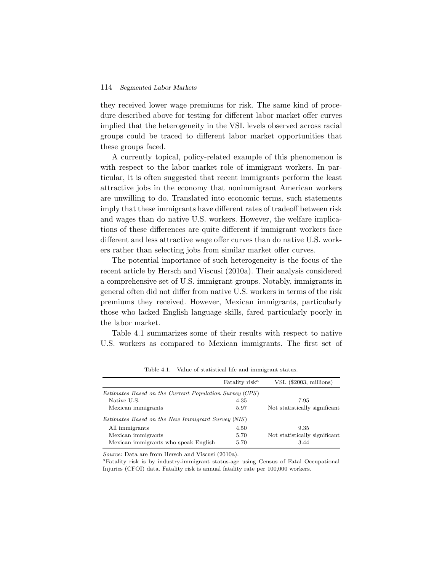#### 114 *Segmented Labor Markets*

they received lower wage premiums for risk. The same kind of procedure described above for testing for different labor market offer curves implied that the heterogeneity in the VSL levels observed across racial groups could be traced to different labor market opportunities that these groups faced.

A currently topical, policy-related example of this phenomenon is with respect to the labor market role of immigrant workers. In particular, it is often suggested that recent immigrants perform the least attractive jobs in the economy that nonimmigrant American workers are unwilling to do. Translated into economic terms, such statements imply that these immigrants have different rates of tradeoff between risk and wages than do native U.S. workers. However, the welfare implications of these differences are quite different if immigrant workers face different and less attractive wage offer curves than do native U.S. workers rather than selecting jobs from similar market offer curves.

The potential importance of such heterogeneity is the focus of the recent article by Hersch and Viscusi (2010a). Their analysis considered a comprehensive set of U.S. immigrant groups. Notably, immigrants in general often did not differ from native U.S. workers in terms of the risk premiums they received. However, Mexican immigrants, particularly those who lacked English language skills, fared particularly poorly in the labor market.

Table 4.1 summarizes some of their results with respect to native U.S. workers as compared to Mexican immigrants. The first set of

|                                                               | Fatality risk <sup>a</sup> | $VSL$ (\$2003, millions)      |  |  |  |
|---------------------------------------------------------------|----------------------------|-------------------------------|--|--|--|
| <i>Estimates Based on the Current Population Survey (CPS)</i> |                            |                               |  |  |  |
| Native U.S.                                                   | 4.35                       | 7.95                          |  |  |  |
| Mexican immigrants                                            | 5.97                       | Not statistically significant |  |  |  |
| <i>Estimates Based on the New Immigrant Survey (NIS)</i>      |                            |                               |  |  |  |
| All immigrants                                                | 4.50                       | 9.35                          |  |  |  |
| Mexican immigrants                                            | 5.70                       | Not statistically significant |  |  |  |
| Mexican immigrants who speak English                          | 5.70                       | 3.44                          |  |  |  |

Table 4.1. Value of statistical life and immigrant status.

Source: Data are from Hersch and Viscusi (2010a).

<sup>a</sup>Fatality risk is by industry-immigrant status-age using Census of Fatal Occupational Injuries (CFOI) data. Fatality risk is annual fatality rate per 100,000 workers.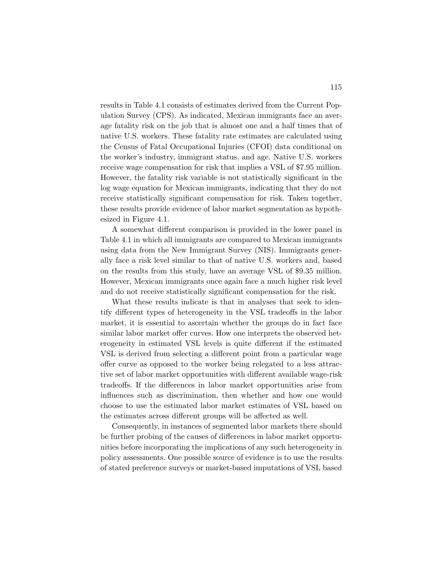results in Table 4.1 consists of estimates derived from the Current Population Survey (CPS). As indicated, Mexican immigrants face an average fatality risk on the job that is almost one and a half times that of native U.S. workers. These fatality rate estimates are calculated using the Census of Fatal Occupational Injuries (CFOI) data conditional on the worker's industry, immigrant status, and age. Native U.S. workers receive wage compensation for risk that implies a VSL of \$7.95 million. However, the fatality risk variable is not statistically significant in the log wage equation for Mexican immigrants, indicating that they do not receive statistically significant compensation for risk. Taken together, these results provide evidence of labor market segmentation as hypothesized in Figure 4.1.

A somewhat different comparison is provided in the lower panel in Table 4.1 in which all immigrants are compared to Mexican immigrants using data from the New Immigrant Survey (NIS). Immigrants generally face a risk level similar to that of native U.S. workers and, based on the results from this study, have an average VSL of \$9.35 million. However, Mexican immigrants once again face a much higher risk level and do not receive statistically significant compensation for the risk.

What these results indicate is that in analyses that seek to identify different types of heterogeneity in the VSL tradeoffs in the labor market, it is essential to ascertain whether the groups do in fact face similar labor market offer curves. How one interprets the observed heterogeneity in estimated VSL levels is quite different if the estimated VSL is derived from selecting a different point from a particular wage offer curve as opposed to the worker being relegated to a less attractive set of labor market opportunities with different available wage-risk tradeoffs. If the differences in labor market opportunities arise from influences such as discrimination, then whether and how one would choose to use the estimated labor market estimates of VSL based on the estimates across different groups will be affected as well.

Consequently, in instances of segmented labor markets there should be further probing of the causes of differences in labor market opportunities before incorporating the implications of any such heterogeneity in policy assessments. One possible source of evidence is to use the results of stated preference surveys or market-based imputations of VSL based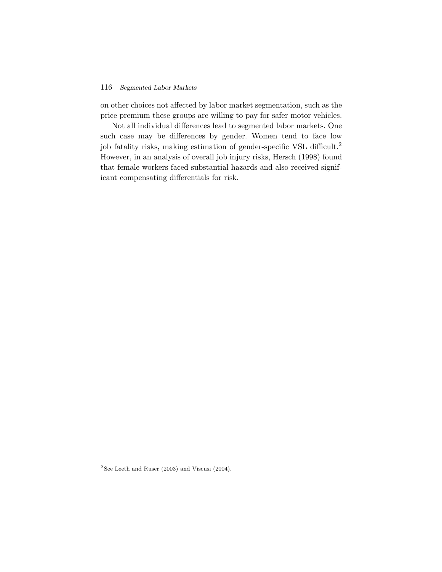#### 116 *Segmented Labor Markets*

on other choices not affected by labor market segmentation, such as the price premium these groups are willing to pay for safer motor vehicles.

Not all individual differences lead to segmented labor markets. One such case may be differences by gender. Women tend to face low job fatality risks, making estimation of gender-specific VSL difficult.<sup>2</sup> However, in an analysis of overall job injury risks, Hersch (1998) found that female workers faced substantial hazards and also received significant compensating differentials for risk.

 $2$ See Leeth and Ruser (2003) and Viscusi (2004).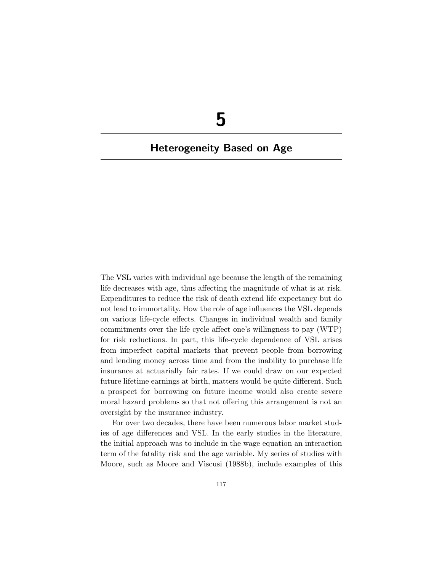### **Heterogeneity Based on Age**

The VSL varies with individual age because the length of the remaining life decreases with age, thus affecting the magnitude of what is at risk. Expenditures to reduce the risk of death extend life expectancy but do not lead to immortality. How the role of age influences the VSL depends on various life-cycle effects. Changes in individual wealth and family commitments over the life cycle affect one's willingness to pay (WTP) for risk reductions. In part, this life-cycle dependence of VSL arises from imperfect capital markets that prevent people from borrowing and lending money across time and from the inability to purchase life insurance at actuarially fair rates. If we could draw on our expected future lifetime earnings at birth, matters would be quite different. Such a prospect for borrowing on future income would also create severe moral hazard problems so that not offering this arrangement is not an oversight by the insurance industry.

For over two decades, there have been numerous labor market studies of age differences and VSL. In the early studies in the literature, the initial approach was to include in the wage equation an interaction term of the fatality risk and the age variable. My series of studies with Moore, such as Moore and Viscusi (1988b), include examples of this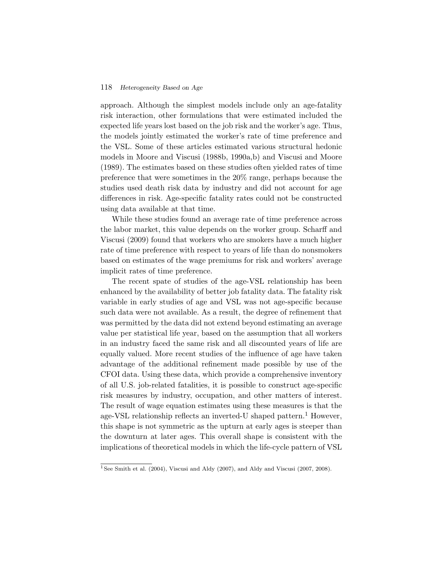#### 118 *Heterogeneity Based on Age*

approach. Although the simplest models include only an age-fatality risk interaction, other formulations that were estimated included the expected life years lost based on the job risk and the worker's age. Thus, the models jointly estimated the worker's rate of time preference and the VSL. Some of these articles estimated various structural hedonic models in Moore and Viscusi (1988b, 1990a,b) and Viscusi and Moore (1989). The estimates based on these studies often yielded rates of time preference that were sometimes in the 20% range, perhaps because the studies used death risk data by industry and did not account for age differences in risk. Age-specific fatality rates could not be constructed using data available at that time.

While these studies found an average rate of time preference across the labor market, this value depends on the worker group. Scharff and Viscusi (2009) found that workers who are smokers have a much higher rate of time preference with respect to years of life than do nonsmokers based on estimates of the wage premiums for risk and workers' average implicit rates of time preference.

The recent spate of studies of the age-VSL relationship has been enhanced by the availability of better job fatality data. The fatality risk variable in early studies of age and VSL was not age-specific because such data were not available. As a result, the degree of refinement that was permitted by the data did not extend beyond estimating an average value per statistical life year, based on the assumption that all workers in an industry faced the same risk and all discounted years of life are equally valued. More recent studies of the influence of age have taken advantage of the additional refinement made possible by use of the CFOI data. Using these data, which provide a comprehensive inventory of all U.S. job-related fatalities, it is possible to construct age-specific risk measures by industry, occupation, and other matters of interest. The result of wage equation estimates using these measures is that the age-VSL relationship reflects an inverted-U shaped pattern.<sup>1</sup> However, this shape is not symmetric as the upturn at early ages is steeper than the downturn at later ages. This overall shape is consistent with the implications of theoretical models in which the life-cycle pattern of VSL

<sup>&</sup>lt;sup>1</sup> See Smith et al.  $(2004)$ , Viscusi and Aldy  $(2007)$ , and Aldy and Viscusi  $(2007, 2008)$ .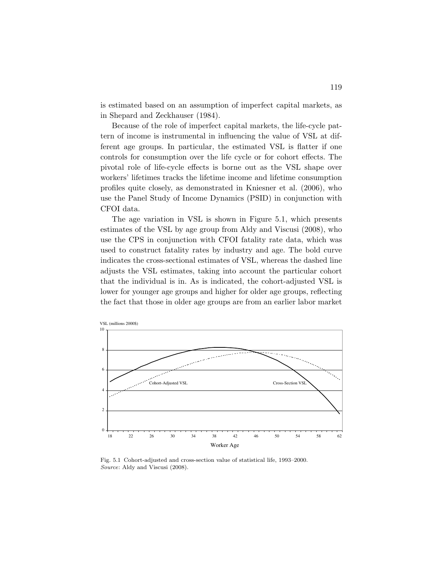is estimated based on an assumption of imperfect capital markets, as in Shepard and Zeckhauser (1984).

Because of the role of imperfect capital markets, the life-cycle pattern of income is instrumental in influencing the value of VSL at different age groups. In particular, the estimated VSL is flatter if one controls for consumption over the life cycle or for cohort effects. The pivotal role of life-cycle effects is borne out as the VSL shape over workers' lifetimes tracks the lifetime income and lifetime consumption profiles quite closely, as demonstrated in Kniesner et al. (2006), who use the Panel Study of Income Dynamics (PSID) in conjunction with CFOI data.

The age variation in VSL is shown in Figure 5.1, which presents estimates of the VSL by age group from Aldy and Viscusi (2008), who use the CPS in conjunction with CFOI fatality rate data, which was used to construct fatality rates by industry and age. The bold curve indicates the cross-sectional estimates of VSL, whereas the dashed line adjusts the VSL estimates, taking into account the particular cohort that the individual is in. As is indicated, the cohort-adjusted VSL is lower for younger age groups and higher for older age groups, reflecting the fact that those in older age groups are from an earlier labor market



Fig. 5.1 Cohort-adjusted and cross-section value of statistical life, 1993–2000. Source: Aldy and Viscusi (2008).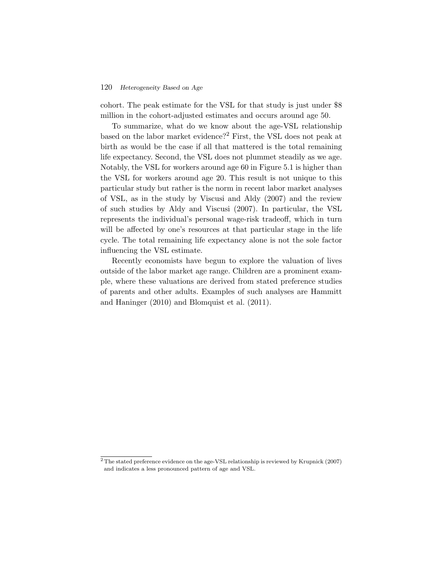#### 120 *Heterogeneity Based on Age*

cohort. The peak estimate for the VSL for that study is just under \$8 million in the cohort-adjusted estimates and occurs around age 50.

To summarize, what do we know about the age-VSL relationship based on the labor market evidence?<sup>2</sup> First, the VSL does not peak at birth as would be the case if all that mattered is the total remaining life expectancy. Second, the VSL does not plummet steadily as we age. Notably, the VSL for workers around age 60 in Figure 5.1 is higher than the VSL for workers around age 20. This result is not unique to this particular study but rather is the norm in recent labor market analyses of VSL, as in the study by Viscusi and Aldy (2007) and the review of such studies by Aldy and Viscusi (2007). In particular, the VSL represents the individual's personal wage-risk tradeoff, which in turn will be affected by one's resources at that particular stage in the life cycle. The total remaining life expectancy alone is not the sole factor influencing the VSL estimate.

Recently economists have begun to explore the valuation of lives outside of the labor market age range. Children are a prominent example, where these valuations are derived from stated preference studies of parents and other adults. Examples of such analyses are Hammitt and Haninger (2010) and Blomquist et al. (2011).

 $2$ The stated preference evidence on the age-VSL relationship is reviewed by Krupnick (2007) and indicates a less pronounced pattern of age and VSL.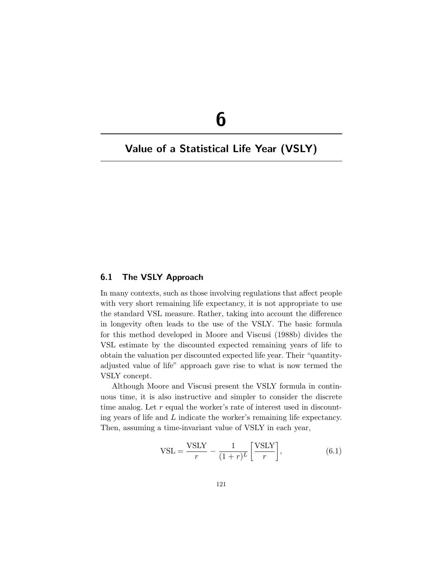## **Value of a Statistical Life Year (VSLY)**

#### **6.1 The VSLY Approach**

In many contexts, such as those involving regulations that affect people with very short remaining life expectancy, it is not appropriate to use the standard VSL measure. Rather, taking into account the difference in longevity often leads to the use of the VSLY. The basic formula for this method developed in Moore and Viscusi (1988b) divides the VSL estimate by the discounted expected remaining years of life to obtain the valuation per discounted expected life year. Their "quantityadjusted value of life" approach gave rise to what is now termed the VSLY concept.

Although Moore and Viscusi present the VSLY formula in continuous time, it is also instructive and simpler to consider the discrete time analog. Let r equal the worker's rate of interest used in discounting years of life and L indicate the worker's remaining life expectancy. Then, assuming a time-invariant value of VSLY in each year,

$$
VSL = \frac{VSLY}{r} - \frac{1}{(1+r)^L} \left[ \frac{VSLY}{r} \right],\tag{6.1}
$$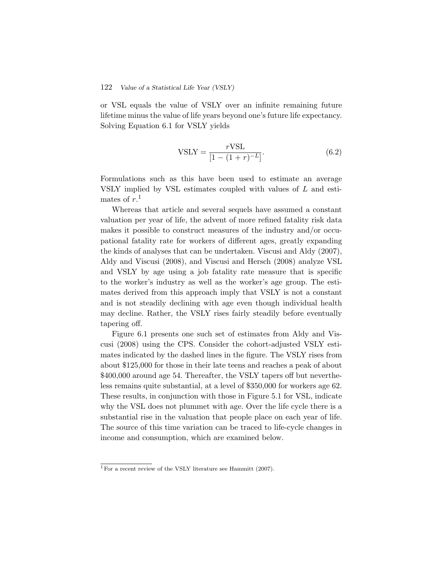#### 122 *Value of a Statistical Life Year (VSLY)*

or VSL equals the value of VSLY over an infinite remaining future lifetime minus the value of life years beyond one's future life expectancy. Solving Equation 6.1 for VSLY yields

$$
VSLY = \frac{rVSL}{[1 - (1 + r)^{-L}]}.
$$
\n(6.2)

Formulations such as this have been used to estimate an average VSLY implied by VSL estimates coupled with values of L and estimates of  $r<sup>1</sup>$ 

Whereas that article and several sequels have assumed a constant valuation per year of life, the advent of more refined fatality risk data makes it possible to construct measures of the industry and/or occupational fatality rate for workers of different ages, greatly expanding the kinds of analyses that can be undertaken. Viscusi and Aldy (2007), Aldy and Viscusi (2008), and Viscusi and Hersch (2008) analyze VSL and VSLY by age using a job fatality rate measure that is specific to the worker's industry as well as the worker's age group. The estimates derived from this approach imply that VSLY is not a constant and is not steadily declining with age even though individual health may decline. Rather, the VSLY rises fairly steadily before eventually tapering off.

Figure 6.1 presents one such set of estimates from Aldy and Viscusi (2008) using the CPS. Consider the cohort-adjusted VSLY estimates indicated by the dashed lines in the figure. The VSLY rises from about \$125,000 for those in their late teens and reaches a peak of about \$400,000 around age 54. Thereafter, the VSLY tapers off but nevertheless remains quite substantial, at a level of \$350,000 for workers age 62. These results, in conjunction with those in Figure 5.1 for VSL, indicate why the VSL does not plummet with age. Over the life cycle there is a substantial rise in the valuation that people place on each year of life. The source of this time variation can be traced to life-cycle changes in income and consumption, which are examined below.

 $\overline{1}_{\text{For a recent review of the VSLY literature see Hammitt (2007)}$ .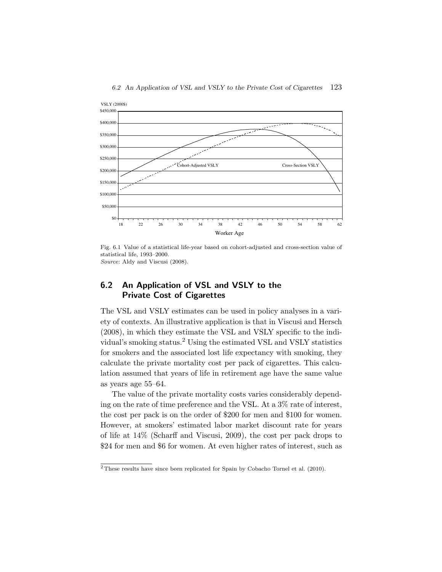

Fig. 6.1 Value of a statistical life-year based on cohort-adjusted and cross-section value of statistical life, 1993–2000. Source: Aldy and Viscusi (2008).

### **6.2 An Application of VSL and VSLY to the Private Cost of Cigarettes**

The VSL and VSLY estimates can be used in policy analyses in a variety of contexts. An illustrative application is that in Viscusi and Hersch (2008), in which they estimate the VSL and VSLY specific to the individual's smoking status.<sup>2</sup> Using the estimated VSL and VSLY statistics for smokers and the associated lost life expectancy with smoking, they calculate the private mortality cost per pack of cigarettes. This calculation assumed that years of life in retirement age have the same value as years age 55–64.

The value of the private mortality costs varies considerably depending on the rate of time preference and the VSL. At a 3% rate of interest, the cost per pack is on the order of \$200 for men and \$100 for women. However, at smokers' estimated labor market discount rate for years of life at 14% (Scharff and Viscusi, 2009), the cost per pack drops to \$24 for men and \$6 for women. At even higher rates of interest, such as

<sup>&</sup>lt;sup>2</sup>These results have since been replicated for Spain by Cobacho Tornel et al. (2010).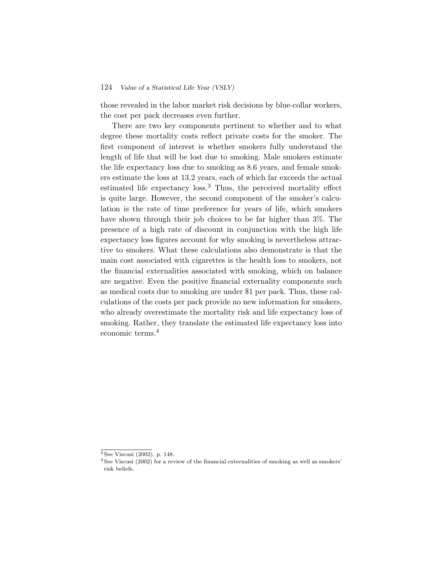#### 124 *Value of a Statistical Life Year (VSLY)*

those revealed in the labor market risk decisions by blue-collar workers, the cost per pack decreases even further.

There are two key components pertinent to whether and to what degree these mortality costs reflect private costs for the smoker. The first component of interest is whether smokers fully understand the length of life that will be lost due to smoking. Male smokers estimate the life expectancy loss due to smoking as 8.6 years, and female smokers estimate the loss at 13.2 years, each of which far exceeds the actual estimated life expectancy loss.<sup>3</sup> Thus, the perceived mortality effect is quite large. However, the second component of the smoker's calculation is the rate of time preference for years of life, which smokers have shown through their job choices to be far higher than  $3\%$ . The presence of a high rate of discount in conjunction with the high life expectancy loss figures account for why smoking is nevertheless attractive to smokers. What these calculations also demonstrate is that the main cost associated with cigarettes is the health loss to smokers, not the financial externalities associated with smoking, which on balance are negative. Even the positive financial externality components such as medical costs due to smoking are under \$1 per pack. Thus, these calculations of the costs per pack provide no new information for smokers, who already overestimate the mortality risk and life expectancy loss of smoking. Rather, they translate the estimated life expectancy loss into economic terms.<sup>4</sup>

<sup>3</sup> See Viscusi (2002), p. 148.

<sup>4</sup> See Viscusi (2002) for a review of the financial externalities of smoking as well as smokers' risk beliefs.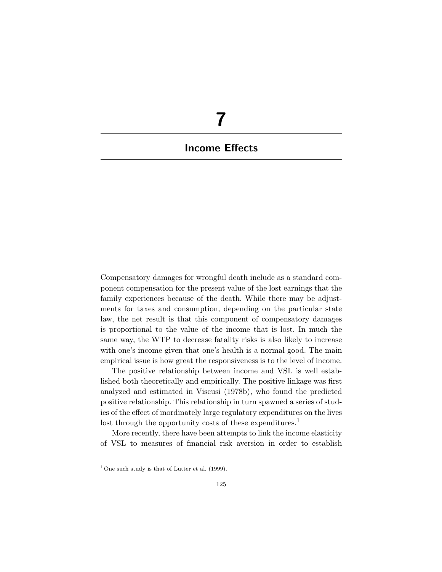### **Income Effects**

Compensatory damages for wrongful death include as a standard component compensation for the present value of the lost earnings that the family experiences because of the death. While there may be adjustments for taxes and consumption, depending on the particular state law, the net result is that this component of compensatory damages is proportional to the value of the income that is lost. In much the same way, the WTP to decrease fatality risks is also likely to increase with one's income given that one's health is a normal good. The main empirical issue is how great the responsiveness is to the level of income.

The positive relationship between income and VSL is well established both theoretically and empirically. The positive linkage was first analyzed and estimated in Viscusi (1978b), who found the predicted positive relationship. This relationship in turn spawned a series of studies of the effect of inordinately large regulatory expenditures on the lives lost through the opportunity costs of these expenditures.<sup>1</sup>

More recently, there have been attempts to link the income elasticity of VSL to measures of financial risk aversion in order to establish

 $\overline{1 \text{One such study}}$  is that of Lutter et al. (1999).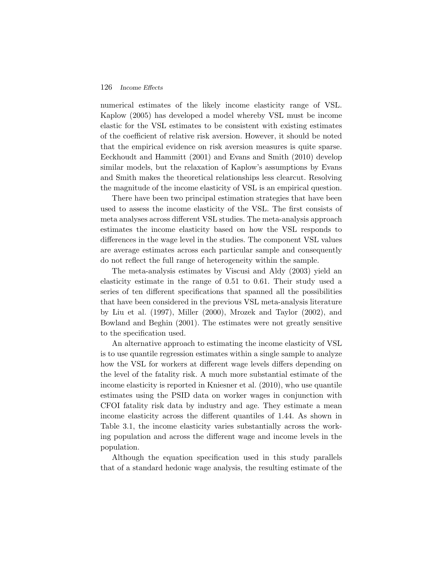#### 126 *Income Effects*

numerical estimates of the likely income elasticity range of VSL. Kaplow (2005) has developed a model whereby VSL must be income elastic for the VSL estimates to be consistent with existing estimates of the coefficient of relative risk aversion. However, it should be noted that the empirical evidence on risk aversion measures is quite sparse. Eeckhoudt and Hammitt (2001) and Evans and Smith (2010) develop similar models, but the relaxation of Kaplow's assumptions by Evans and Smith makes the theoretical relationships less clearcut. Resolving the magnitude of the income elasticity of VSL is an empirical question.

There have been two principal estimation strategies that have been used to assess the income elasticity of the VSL. The first consists of meta analyses across different VSL studies. The meta-analysis approach estimates the income elasticity based on how the VSL responds to differences in the wage level in the studies. The component VSL values are average estimates across each particular sample and consequently do not reflect the full range of heterogeneity within the sample.

The meta-analysis estimates by Viscusi and Aldy (2003) yield an elasticity estimate in the range of 0.51 to 0.61. Their study used a series of ten different specifications that spanned all the possibilities that have been considered in the previous VSL meta-analysis literature by Liu et al. (1997), Miller (2000), Mrozek and Taylor (2002), and Bowland and Beghin (2001). The estimates were not greatly sensitive to the specification used.

An alternative approach to estimating the income elasticity of VSL is to use quantile regression estimates within a single sample to analyze how the VSL for workers at different wage levels differs depending on the level of the fatality risk. A much more substantial estimate of the income elasticity is reported in Kniesner et al. (2010), who use quantile estimates using the PSID data on worker wages in conjunction with CFOI fatality risk data by industry and age. They estimate a mean income elasticity across the different quantiles of 1.44. As shown in Table 3.1, the income elasticity varies substantially across the working population and across the different wage and income levels in the population.

Although the equation specification used in this study parallels that of a standard hedonic wage analysis, the resulting estimate of the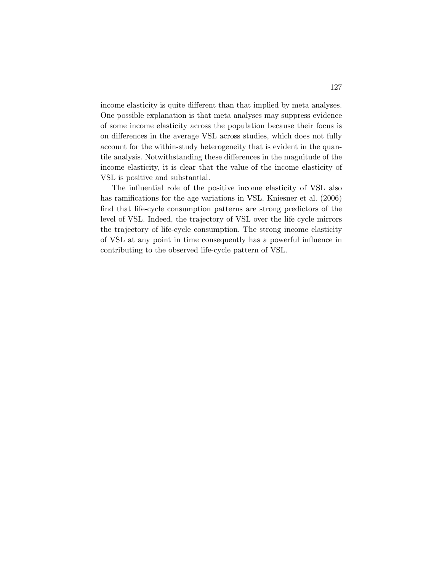income elasticity is quite different than that implied by meta analyses. One possible explanation is that meta analyses may suppress evidence of some income elasticity across the population because their focus is on differences in the average VSL across studies, which does not fully account for the within-study heterogeneity that is evident in the quantile analysis. Notwithstanding these differences in the magnitude of the income elasticity, it is clear that the value of the income elasticity of VSL is positive and substantial.

The influential role of the positive income elasticity of VSL also has ramifications for the age variations in VSL. Kniesner et al. (2006) find that life-cycle consumption patterns are strong predictors of the level of VSL. Indeed, the trajectory of VSL over the life cycle mirrors the trajectory of life-cycle consumption. The strong income elasticity of VSL at any point in time consequently has a powerful influence in contributing to the observed life-cycle pattern of VSL.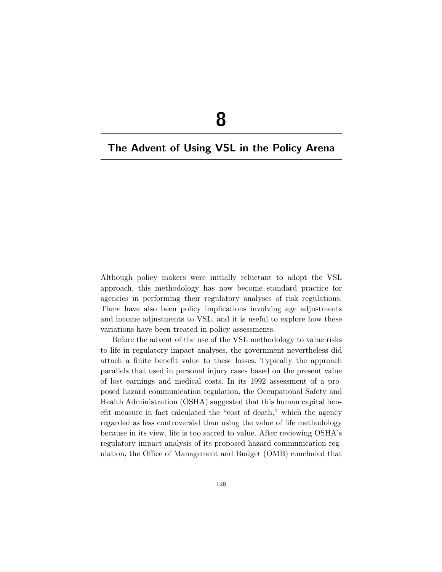### **The Advent of Using VSL in the Policy Arena**

Although policy makers were initially reluctant to adopt the VSL approach, this methodology has now become standard practice for agencies in performing their regulatory analyses of risk regulations. There have also been policy implications involving age adjustments and income adjustments to VSL, and it is useful to explore how these variations have been treated in policy assessments.

Before the advent of the use of the VSL methodology to value risks to life in regulatory impact analyses, the government nevertheless did attach a finite benefit value to these losses. Typically the approach parallels that used in personal injury cases based on the present value of lost earnings and medical costs. In its 1992 assessment of a proposed hazard communication regulation, the Occupational Safety and Health Administration (OSHA) suggested that this human capital benefit measure in fact calculated the "cost of death," which the agency regarded as less controversial than using the value of life methodology because in its view, life is too sacred to value. After reviewing OSHA's regulatory impact analysis of its proposed hazard communication regulation, the Office of Management and Budget (OMB) concluded that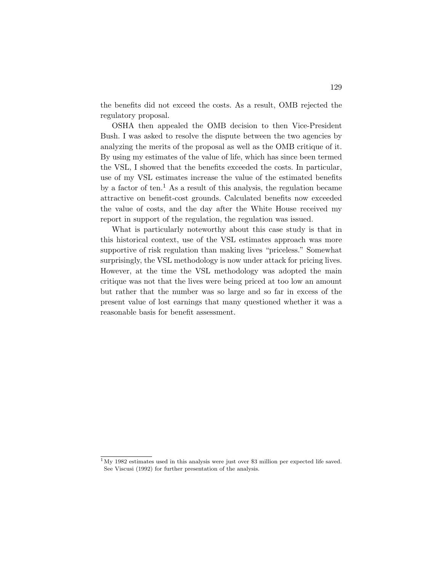the benefits did not exceed the costs. As a result, OMB rejected the regulatory proposal.

OSHA then appealed the OMB decision to then Vice-President Bush. I was asked to resolve the dispute between the two agencies by analyzing the merits of the proposal as well as the OMB critique of it. By using my estimates of the value of life, which has since been termed the VSL, I showed that the benefits exceeded the costs. In particular, use of my VSL estimates increase the value of the estimated benefits by a factor of ten.<sup>1</sup> As a result of this analysis, the regulation became attractive on benefit-cost grounds. Calculated benefits now exceeded the value of costs, and the day after the White House received my report in support of the regulation, the regulation was issued.

What is particularly noteworthy about this case study is that in this historical context, use of the VSL estimates approach was more supportive of risk regulation than making lives "priceless." Somewhat surprisingly, the VSL methodology is now under attack for pricing lives. However, at the time the VSL methodology was adopted the main critique was not that the lives were being priced at too low an amount but rather that the number was so large and so far in excess of the present value of lost earnings that many questioned whether it was a reasonable basis for benefit assessment.

<sup>&</sup>lt;sup>1</sup> My 1982 estimates used in this analysis were just over \$3 million per expected life saved. See Viscusi (1992) for further presentation of the analysis.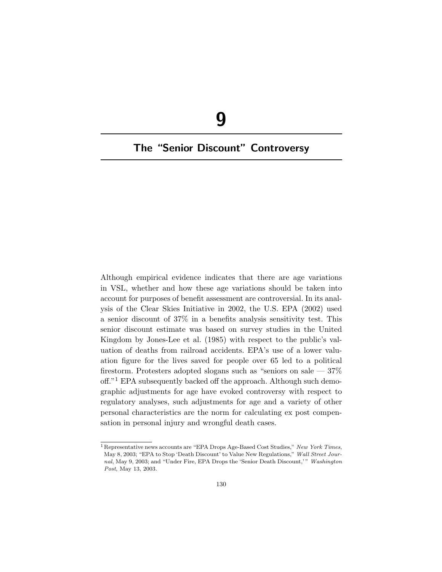### **The "Senior Discount" Controversy**

Although empirical evidence indicates that there are age variations in VSL, whether and how these age variations should be taken into account for purposes of benefit assessment are controversial. In its analysis of the Clear Skies Initiative in 2002, the U.S. EPA (2002) used a senior discount of 37% in a benefits analysis sensitivity test. This senior discount estimate was based on survey studies in the United Kingdom by Jones-Lee et al. (1985) with respect to the public's valuation of deaths from railroad accidents. EPA's use of a lower valuation figure for the lives saved for people over 65 led to a political firestorm. Protesters adopted slogans such as "seniors on sale  $-37\%$ off."<sup>1</sup> EPA subsequently backed off the approach. Although such demographic adjustments for age have evoked controversy with respect to regulatory analyses, such adjustments for age and a variety of other personal characteristics are the norm for calculating ex post compensation in personal injury and wrongful death cases.

<sup>&</sup>lt;sup>1</sup> Representative news accounts are "EPA Drops Age-Based Cost Studies," New York Times, May 8, 2003; "EPA to Stop 'Death Discount' to Value New Regulations," Wall Street Journal, May 9, 2003; and "Under Fire, EPA Drops the 'Senior Death Discount,'" Washington Post, May 13, 2003.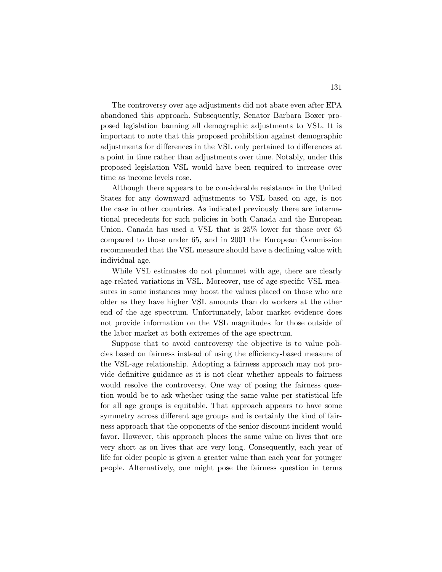The controversy over age adjustments did not abate even after EPA abandoned this approach. Subsequently, Senator Barbara Boxer proposed legislation banning all demographic adjustments to VSL. It is important to note that this proposed prohibition against demographic adjustments for differences in the VSL only pertained to differences at a point in time rather than adjustments over time. Notably, under this proposed legislation VSL would have been required to increase over time as income levels rose.

Although there appears to be considerable resistance in the United States for any downward adjustments to VSL based on age, is not the case in other countries. As indicated previously there are international precedents for such policies in both Canada and the European Union. Canada has used a VSL that is 25% lower for those over 65 compared to those under 65, and in 2001 the European Commission recommended that the VSL measure should have a declining value with individual age.

While VSL estimates do not plummet with age, there are clearly age-related variations in VSL. Moreover, use of age-specific VSL measures in some instances may boost the values placed on those who are older as they have higher VSL amounts than do workers at the other end of the age spectrum. Unfortunately, labor market evidence does not provide information on the VSL magnitudes for those outside of the labor market at both extremes of the age spectrum.

Suppose that to avoid controversy the objective is to value policies based on fairness instead of using the efficiency-based measure of the VSL-age relationship. Adopting a fairness approach may not provide definitive guidance as it is not clear whether appeals to fairness would resolve the controversy. One way of posing the fairness question would be to ask whether using the same value per statistical life for all age groups is equitable. That approach appears to have some symmetry across different age groups and is certainly the kind of fairness approach that the opponents of the senior discount incident would favor. However, this approach places the same value on lives that are very short as on lives that are very long. Consequently, each year of life for older people is given a greater value than each year for younger people. Alternatively, one might pose the fairness question in terms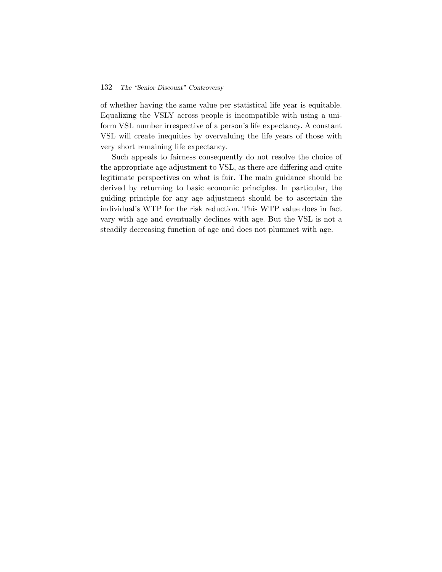#### 132 *The "Senior Discount" Controversy*

of whether having the same value per statistical life year is equitable. Equalizing the VSLY across people is incompatible with using a uniform VSL number irrespective of a person's life expectancy. A constant VSL will create inequities by overvaluing the life years of those with very short remaining life expectancy.

Such appeals to fairness consequently do not resolve the choice of the appropriate age adjustment to VSL, as there are differing and quite legitimate perspectives on what is fair. The main guidance should be derived by returning to basic economic principles. In particular, the guiding principle for any age adjustment should be to ascertain the individual's WTP for the risk reduction. This WTP value does in fact vary with age and eventually declines with age. But the VSL is not a steadily decreasing function of age and does not plummet with age.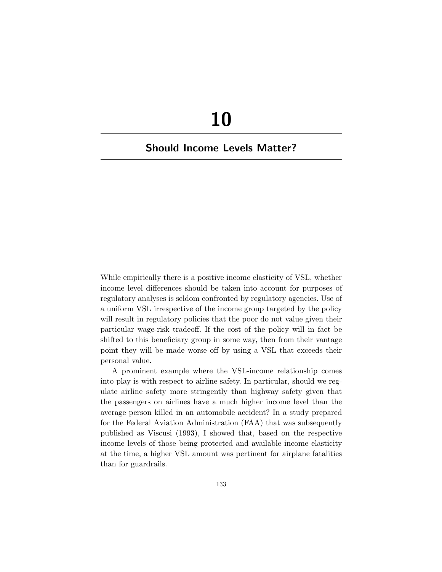### **Should Income Levels Matter?**

While empirically there is a positive income elasticity of VSL, whether income level differences should be taken into account for purposes of regulatory analyses is seldom confronted by regulatory agencies. Use of a uniform VSL irrespective of the income group targeted by the policy will result in regulatory policies that the poor do not value given their particular wage-risk tradeoff. If the cost of the policy will in fact be shifted to this beneficiary group in some way, then from their vantage point they will be made worse off by using a VSL that exceeds their personal value.

A prominent example where the VSL-income relationship comes into play is with respect to airline safety. In particular, should we regulate airline safety more stringently than highway safety given that the passengers on airlines have a much higher income level than the average person killed in an automobile accident? In a study prepared for the Federal Aviation Administration (FAA) that was subsequently published as Viscusi (1993), I showed that, based on the respective income levels of those being protected and available income elasticity at the time, a higher VSL amount was pertinent for airplane fatalities than for guardrails.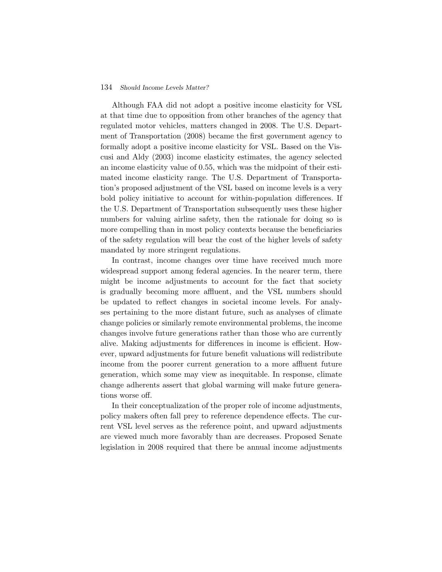#### 134 *Should Income Levels Matter?*

Although FAA did not adopt a positive income elasticity for VSL at that time due to opposition from other branches of the agency that regulated motor vehicles, matters changed in 2008. The U.S. Department of Transportation (2008) became the first government agency to formally adopt a positive income elasticity for VSL. Based on the Viscusi and Aldy (2003) income elasticity estimates, the agency selected an income elasticity value of 0.55, which was the midpoint of their estimated income elasticity range. The U.S. Department of Transportation's proposed adjustment of the VSL based on income levels is a very bold policy initiative to account for within-population differences. If the U.S. Department of Transportation subsequently uses these higher numbers for valuing airline safety, then the rationale for doing so is more compelling than in most policy contexts because the beneficiaries of the safety regulation will bear the cost of the higher levels of safety mandated by more stringent regulations.

In contrast, income changes over time have received much more widespread support among federal agencies. In the nearer term, there might be income adjustments to account for the fact that society is gradually becoming more affluent, and the VSL numbers should be updated to reflect changes in societal income levels. For analyses pertaining to the more distant future, such as analyses of climate change policies or similarly remote environmental problems, the income changes involve future generations rather than those who are currently alive. Making adjustments for differences in income is efficient. However, upward adjustments for future benefit valuations will redistribute income from the poorer current generation to a more affluent future generation, which some may view as inequitable. In response, climate change adherents assert that global warming will make future generations worse off.

In their conceptualization of the proper role of income adjustments, policy makers often fall prey to reference dependence effects. The current VSL level serves as the reference point, and upward adjustments are viewed much more favorably than are decreases. Proposed Senate legislation in 2008 required that there be annual income adjustments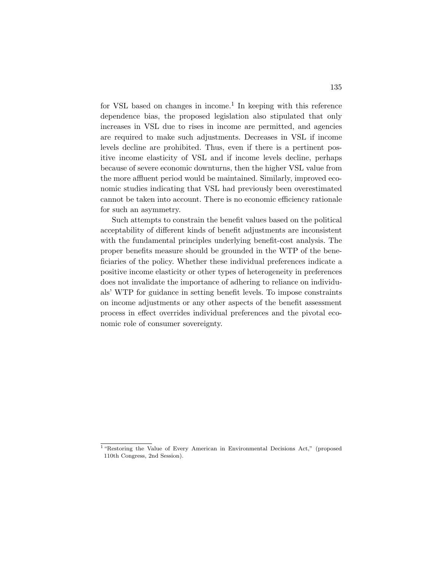for VSL based on changes in income.<sup>1</sup> In keeping with this reference dependence bias, the proposed legislation also stipulated that only increases in VSL due to rises in income are permitted, and agencies are required to make such adjustments. Decreases in VSL if income levels decline are prohibited. Thus, even if there is a pertinent positive income elasticity of VSL and if income levels decline, perhaps because of severe economic downturns, then the higher VSL value from the more affluent period would be maintained. Similarly, improved economic studies indicating that VSL had previously been overestimated cannot be taken into account. There is no economic efficiency rationale for such an asymmetry.

Such attempts to constrain the benefit values based on the political acceptability of different kinds of benefit adjustments are inconsistent with the fundamental principles underlying benefit-cost analysis. The proper benefits measure should be grounded in the WTP of the beneficiaries of the policy. Whether these individual preferences indicate a positive income elasticity or other types of heterogeneity in preferences does not invalidate the importance of adhering to reliance on individuals' WTP for guidance in setting benefit levels. To impose constraints on income adjustments or any other aspects of the benefit assessment process in effect overrides individual preferences and the pivotal economic role of consumer sovereignty.

<sup>&</sup>lt;sup>1</sup> "Restoring the Value of Every American in Environmental Decisions Act," (proposed 110th Congress, 2nd Session).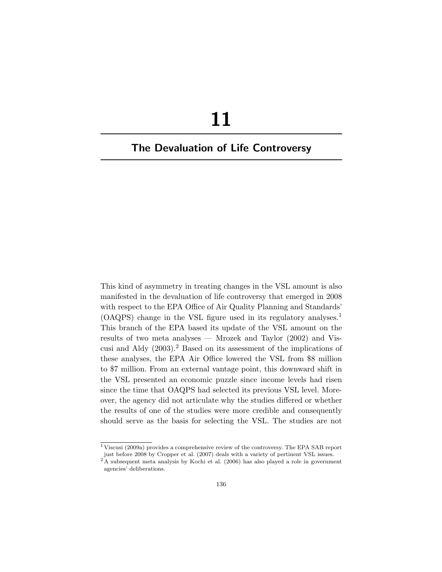### **The Devaluation of Life Controversy**

This kind of asymmetry in treating changes in the VSL amount is also manifested in the devaluation of life controversy that emerged in 2008 with respect to the EPA Office of Air Quality Planning and Standards' (OAQPS) change in the VSL figure used in its regulatory analyses.<sup>1</sup> This branch of the EPA based its update of the VSL amount on the results of two meta analyses — Mrozek and Taylor (2002) and Viscusi and Aldy (2003).<sup>2</sup> Based on its assessment of the implications of these analyses, the EPA Air Office lowered the VSL from \$8 million to \$7 million. From an external vantage point, this downward shift in the VSL presented an economic puzzle since income levels had risen since the time that OAQPS had selected its previous VSL level. Moreover, the agency did not articulate why the studies differed or whether the results of one of the studies were more credible and consequently should serve as the basis for selecting the VSL. The studies are not

 $1$  Viscusi (2009a) provides a comprehensive review of the controversy. The EPA SAB report just before 2008 by Cropper et al. (2007) deals with a variety of pertinent VSL issues.

 $2A$  subsequent meta analysis by Kochi et al. (2006) has also played a role in government agencies' deliberations.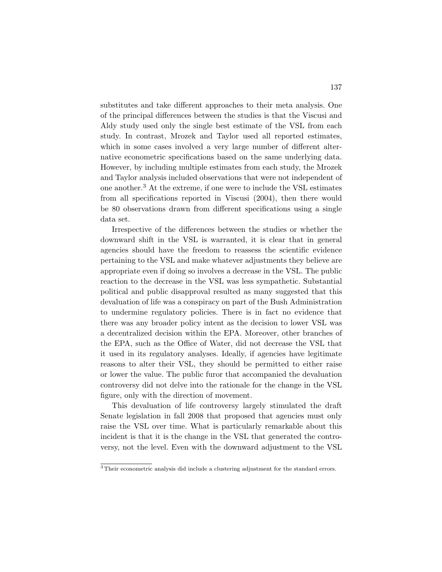substitutes and take different approaches to their meta analysis. One of the principal differences between the studies is that the Viscusi and Aldy study used only the single best estimate of the VSL from each study. In contrast, Mrozek and Taylor used all reported estimates, which in some cases involved a very large number of different alternative econometric specifications based on the same underlying data. However, by including multiple estimates from each study, the Mrozek and Taylor analysis included observations that were not independent of one another.<sup>3</sup> At the extreme, if one were to include the VSL estimates from all specifications reported in Viscusi (2004), then there would be 80 observations drawn from different specifications using a single data set.

Irrespective of the differences between the studies or whether the downward shift in the VSL is warranted, it is clear that in general agencies should have the freedom to reassess the scientific evidence pertaining to the VSL and make whatever adjustments they believe are appropriate even if doing so involves a decrease in the VSL. The public reaction to the decrease in the VSL was less sympathetic. Substantial political and public disapproval resulted as many suggested that this devaluation of life was a conspiracy on part of the Bush Administration to undermine regulatory policies. There is in fact no evidence that there was any broader policy intent as the decision to lower VSL was a decentralized decision within the EPA. Moreover, other branches of the EPA, such as the Office of Water, did not decrease the VSL that it used in its regulatory analyses. Ideally, if agencies have legitimate reasons to alter their VSL, they should be permitted to either raise or lower the value. The public furor that accompanied the devaluation controversy did not delve into the rationale for the change in the VSL figure, only with the direction of movement.

This devaluation of life controversy largely stimulated the draft Senate legislation in fall 2008 that proposed that agencies must only raise the VSL over time. What is particularly remarkable about this incident is that it is the change in the VSL that generated the controversy, not the level. Even with the downward adjustment to the VSL

 $\overline{3}$ Their econometric analysis did include a clustering adjustment for the standard errors.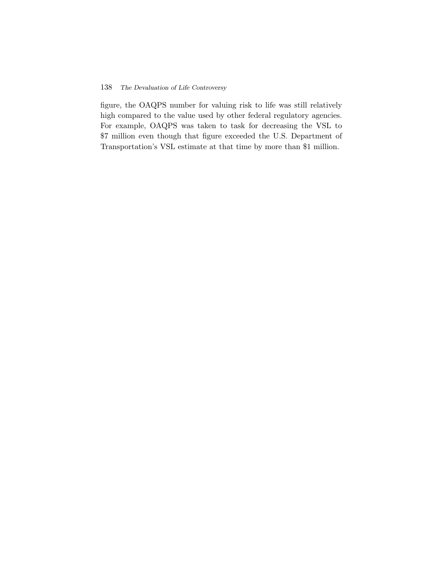#### 138 *The Devaluation of Life Controversy*

figure, the OAQPS number for valuing risk to life was still relatively high compared to the value used by other federal regulatory agencies. For example, OAQPS was taken to task for decreasing the VSL to \$7 million even though that figure exceeded the U.S. Department of Transportation's VSL estimate at that time by more than \$1 million.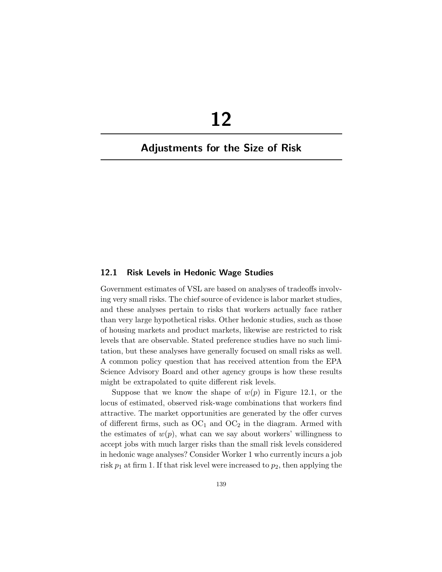## **Adjustments for the Size of Risk**

#### **12.1 Risk Levels in Hedonic Wage Studies**

Government estimates of VSL are based on analyses of tradeoffs involving very small risks. The chief source of evidence is labor market studies, and these analyses pertain to risks that workers actually face rather than very large hypothetical risks. Other hedonic studies, such as those of housing markets and product markets, likewise are restricted to risk levels that are observable. Stated preference studies have no such limitation, but these analyses have generally focused on small risks as well. A common policy question that has received attention from the EPA Science Advisory Board and other agency groups is how these results might be extrapolated to quite different risk levels.

Suppose that we know the shape of  $w(p)$  in Figure 12.1, or the locus of estimated, observed risk-wage combinations that workers find attractive. The market opportunities are generated by the offer curves of different firms, such as  $OC<sub>1</sub>$  and  $OC<sub>2</sub>$  in the diagram. Armed with the estimates of  $w(p)$ , what can we say about workers' willingness to accept jobs with much larger risks than the small risk levels considered in hedonic wage analyses? Consider Worker 1 who currently incurs a job risk  $p_1$  at firm 1. If that risk level were increased to  $p_2$ , then applying the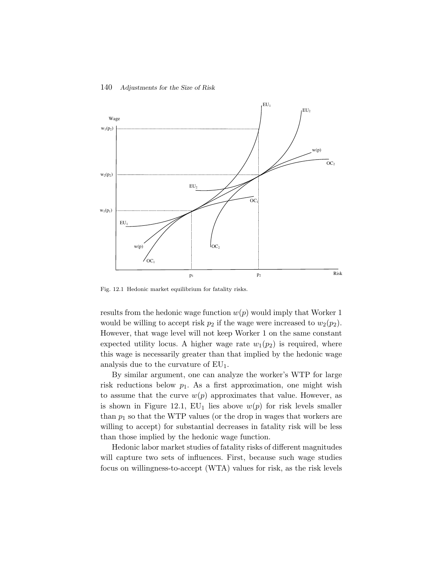

Fig. 12.1 Hedonic market equilibrium for fatality risks.

results from the hedonic wage function  $w(p)$  would imply that Worker 1 would be willing to accept risk  $p_2$  if the wage were increased to  $w_2(p_2)$ . However, that wage level will not keep Worker 1 on the same constant expected utility locus. A higher wage rate  $w_1(p_2)$  is required, where this wage is necessarily greater than that implied by the hedonic wage analysis due to the curvature of EU1.

By similar argument, one can analyze the worker's WTP for large risk reductions below  $p_1$ . As a first approximation, one might wish to assume that the curve  $w(p)$  approximates that value. However, as is shown in Figure 12.1,  $EU_1$  lies above  $w(p)$  for risk levels smaller than  $p_1$  so that the WTP values (or the drop in wages that workers are willing to accept) for substantial decreases in fatality risk will be less than those implied by the hedonic wage function.

Hedonic labor market studies of fatality risks of different magnitudes will capture two sets of influences. First, because such wage studies focus on willingness-to-accept (WTA) values for risk, as the risk levels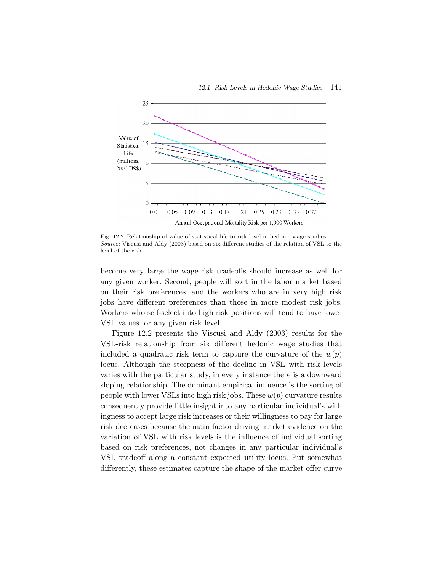

Fig. 12.2 Relationship of value of statistical life to risk level in hedonic wage studies. Source: Viscusi and Aldy (2003) based on six different studies of the relation of VSL to the level of the risk.

become very large the wage-risk tradeoffs should increase as well for any given worker. Second, people will sort in the labor market based on their risk preferences, and the workers who are in very high risk jobs have different preferences than those in more modest risk jobs. Workers who self-select into high risk positions will tend to have lower VSL values for any given risk level.

Figure 12.2 presents the Viscusi and Aldy (2003) results for the VSL-risk relationship from six different hedonic wage studies that included a quadratic risk term to capture the curvature of the  $w(p)$ locus. Although the steepness of the decline in VSL with risk levels varies with the particular study, in every instance there is a downward sloping relationship. The dominant empirical influence is the sorting of people with lower VSLs into high risk jobs. These  $w(p)$  curvature results consequently provide little insight into any particular individual's willingness to accept large risk increases or their willingness to pay for large risk decreases because the main factor driving market evidence on the variation of VSL with risk levels is the influence of individual sorting based on risk preferences, not changes in any particular individual's VSL tradeoff along a constant expected utility locus. Put somewhat differently, these estimates capture the shape of the market offer curve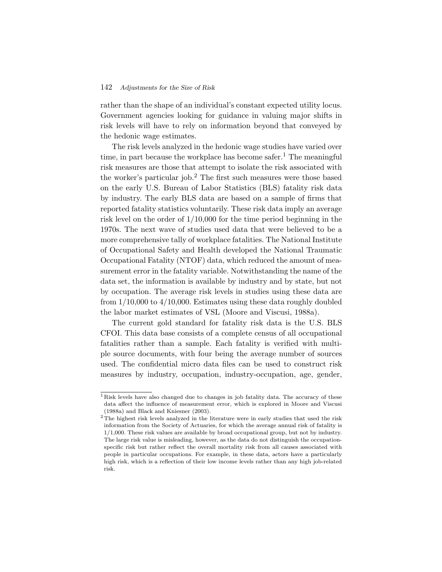#### 142 *Adjustments for the Size of Risk*

rather than the shape of an individual's constant expected utility locus. Government agencies looking for guidance in valuing major shifts in risk levels will have to rely on information beyond that conveyed by the hedonic wage estimates.

The risk levels analyzed in the hedonic wage studies have varied over time, in part because the workplace has become safer.<sup>1</sup> The meaningful risk measures are those that attempt to isolate the risk associated with the worker's particular job.<sup>2</sup> The first such measures were those based on the early U.S. Bureau of Labor Statistics (BLS) fatality risk data by industry. The early BLS data are based on a sample of firms that reported fatality statistics voluntarily. These risk data imply an average risk level on the order of 1/10,000 for the time period beginning in the 1970s. The next wave of studies used data that were believed to be a more comprehensive tally of workplace fatalities. The National Institute of Occupational Safety and Health developed the National Traumatic Occupational Fatality (NTOF) data, which reduced the amount of measurement error in the fatality variable. Notwithstanding the name of the data set, the information is available by industry and by state, but not by occupation. The average risk levels in studies using these data are from 1/10,000 to 4/10,000. Estimates using these data roughly doubled the labor market estimates of VSL (Moore and Viscusi, 1988a).

The current gold standard for fatality risk data is the U.S. BLS CFOI. This data base consists of a complete census of all occupational fatalities rather than a sample. Each fatality is verified with multiple source documents, with four being the average number of sources used. The confidential micro data files can be used to construct risk measures by industry, occupation, industry-occupation, age, gender,

<sup>&</sup>lt;sup>1</sup> Risk levels have also changed due to changes in job fatality data. The accuracy of these data affect the influence of measurement error, which is explored in Moore and Viscusi (1988a) and Black and Kniesner (2003).

<sup>&</sup>lt;sup>2</sup>The highest risk levels analyzed in the literature were in early studies that used the risk information from the Society of Actuaries, for which the average annual risk of fatality is 1/1,000. These risk values are available by broad occupational group, but not by industry. The large risk value is misleading, however, as the data do not distinguish the occupationspecific risk but rather reflect the overall mortality risk from all causes associated with people in particular occupations. For example, in these data, actors have a particularly high risk, which is a reflection of their low income levels rather than any high job-related risk.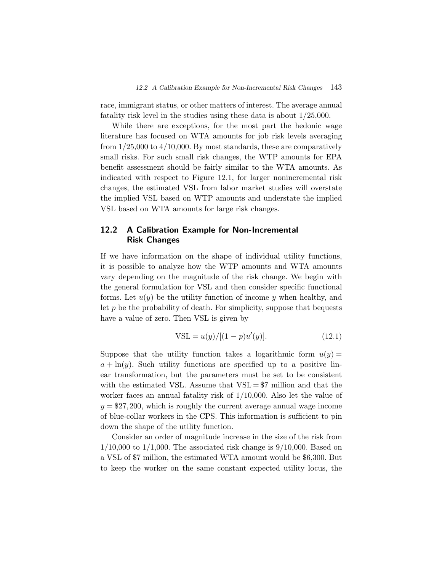race, immigrant status, or other matters of interest. The average annual fatality risk level in the studies using these data is about 1/25,000.

While there are exceptions, for the most part the hedonic wage literature has focused on WTA amounts for job risk levels averaging from  $1/25,000$  to  $4/10,000$ . By most standards, these are comparatively small risks. For such small risk changes, the WTP amounts for EPA benefit assessment should be fairly similar to the WTA amounts. As indicated with respect to Figure 12.1, for larger nonincremental risk changes, the estimated VSL from labor market studies will overstate the implied VSL based on WTP amounts and understate the implied VSL based on WTA amounts for large risk changes.

#### **12.2 A Calibration Example for Non-Incremental Risk Changes**

If we have information on the shape of individual utility functions, it is possible to analyze how the WTP amounts and WTA amounts vary depending on the magnitude of the risk change. We begin with the general formulation for VSL and then consider specific functional forms. Let  $u(y)$  be the utility function of income y when healthy, and let  $p$  be the probability of death. For simplicity, suppose that bequests have a value of zero. Then VSL is given by

$$
VSL = u(y) / [(1 - p)u'(y)].
$$
\n(12.1)

Suppose that the utility function takes a logarithmic form  $u(y) =$  $a + \ln(y)$ . Such utility functions are specified up to a positive linear transformation, but the parameters must be set to be consistent with the estimated VSL. Assume that  $VSL = $7$  million and that the worker faces an annual fatality risk of 1/10,000. Also let the value of  $y = $27,200$ , which is roughly the current average annual wage income of blue-collar workers in the CPS. This information is sufficient to pin down the shape of the utility function.

Consider an order of magnitude increase in the size of the risk from  $1/10,000$  to  $1/1,000$ . The associated risk change is  $9/10,000$ . Based on a VSL of \$7 million, the estimated WTA amount would be \$6,300. But to keep the worker on the same constant expected utility locus, the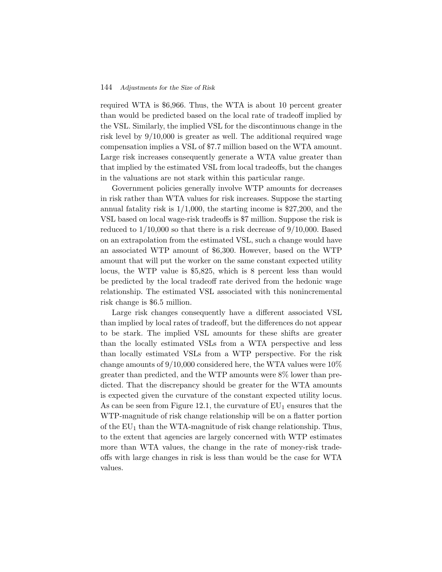#### 144 *Adjustments for the Size of Risk*

required WTA is \$6,966. Thus, the WTA is about 10 percent greater than would be predicted based on the local rate of tradeoff implied by the VSL. Similarly, the implied VSL for the discontinuous change in the risk level by 9/10,000 is greater as well. The additional required wage compensation implies a VSL of \$7.7 million based on the WTA amount. Large risk increases consequently generate a WTA value greater than that implied by the estimated VSL from local tradeoffs, but the changes in the valuations are not stark within this particular range.

Government policies generally involve WTP amounts for decreases in risk rather than WTA values for risk increases. Suppose the starting annual fatality risk is  $1/1,000$ , the starting income is \$27,200, and the VSL based on local wage-risk tradeoffs is \$7 million. Suppose the risk is reduced to  $1/10,000$  so that there is a risk decrease of  $9/10,000$ . Based on an extrapolation from the estimated VSL, such a change would have an associated WTP amount of \$6,300. However, based on the WTP amount that will put the worker on the same constant expected utility locus, the WTP value is \$5,825, which is 8 percent less than would be predicted by the local tradeoff rate derived from the hedonic wage relationship. The estimated VSL associated with this nonincremental risk change is \$6.5 million.

Large risk changes consequently have a different associated VSL than implied by local rates of tradeoff, but the differences do not appear to be stark. The implied VSL amounts for these shifts are greater than the locally estimated VSLs from a WTA perspective and less than locally estimated VSLs from a WTP perspective. For the risk change amounts of 9/10,000 considered here, the WTA values were 10% greater than predicted, and the WTP amounts were 8% lower than predicted. That the discrepancy should be greater for the WTA amounts is expected given the curvature of the constant expected utility locus. As can be seen from Figure 12.1, the curvature of  $EU_1$  ensures that the WTP-magnitude of risk change relationship will be on a flatter portion of the  $EU_1$  than the WTA-magnitude of risk change relationship. Thus, to the extent that agencies are largely concerned with WTP estimates more than WTA values, the change in the rate of money-risk tradeoffs with large changes in risk is less than would be the case for WTA values.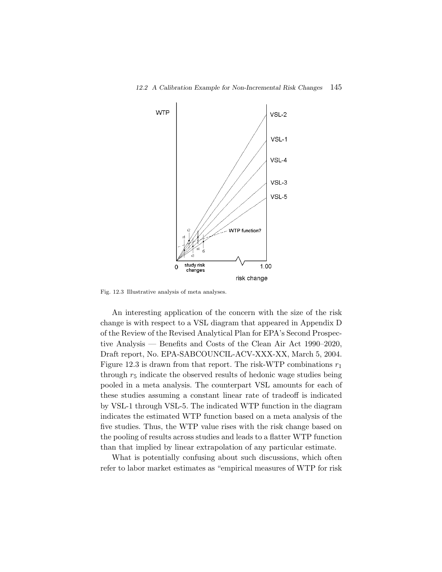

Fig. 12.3 Illustrative analysis of meta analyses.

An interesting application of the concern with the size of the risk change is with respect to a VSL diagram that appeared in Appendix D of the Review of the Revised Analytical Plan for EPA's Second Prospective Analysis — Benefits and Costs of the Clean Air Act 1990–2020, Draft report, No. EPA-SABCOUNCIL-ACV-XXX-XX, March 5, 2004. Figure 12.3 is drawn from that report. The risk-WTP combinations  $r_1$ through  $r<sub>5</sub>$  indicate the observed results of hedonic wage studies being pooled in a meta analysis. The counterpart VSL amounts for each of these studies assuming a constant linear rate of tradeoff is indicated by VSL-1 through VSL-5. The indicated WTP function in the diagram indicates the estimated WTP function based on a meta analysis of the five studies. Thus, the WTP value rises with the risk change based on the pooling of results across studies and leads to a flatter WTP function than that implied by linear extrapolation of any particular estimate.

What is potentially confusing about such discussions, which often refer to labor market estimates as "empirical measures of WTP for risk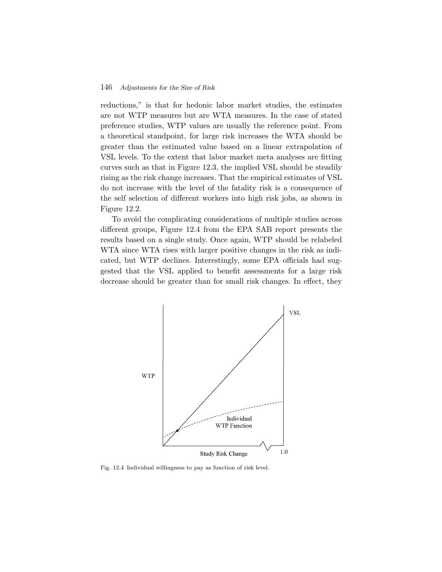#### 146 *Adjustments for the Size of Risk*

reductions," is that for hedonic labor market studies, the estimates are not WTP measures but are WTA measures. In the case of stated preference studies, WTP values are usually the reference point. From a theoretical standpoint, for large risk increases the WTA should be greater than the estimated value based on a linear extrapolation of VSL levels. To the extent that labor market meta analyses are fitting curves such as that in Figure 12.3, the implied VSL should be steadily rising as the risk change increases. That the empirical estimates of VSL do not increase with the level of the fatality risk is a consequence of the self selection of different workers into high risk jobs, as shown in Figure 12.2.

To avoid the complicating considerations of multiple studies across different groups, Figure 12.4 from the EPA SAB report presents the results based on a single study. Once again, WTP should be relabeled WTA since WTA rises with larger positive changes in the risk as indicated, but WTP declines. Interestingly, some EPA officials had suggested that the VSL applied to benefit assessments for a large risk decrease should be greater than for small risk changes. In effect, they



Fig. 12.4 Individual willingness to pay as function of risk level.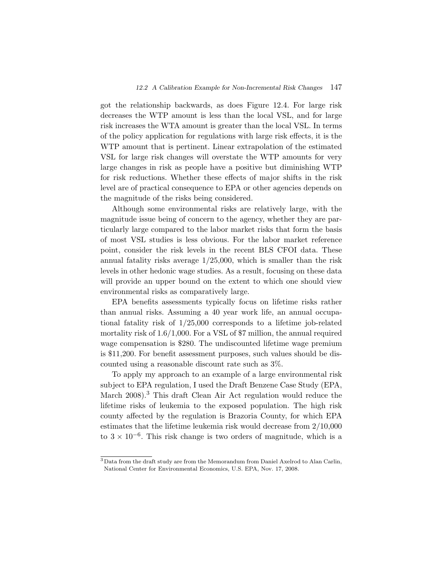got the relationship backwards, as does Figure 12.4. For large risk decreases the WTP amount is less than the local VSL, and for large risk increases the WTA amount is greater than the local VSL. In terms of the policy application for regulations with large risk effects, it is the WTP amount that is pertinent. Linear extrapolation of the estimated VSL for large risk changes will overstate the WTP amounts for very large changes in risk as people have a positive but diminishing WTP for risk reductions. Whether these effects of major shifts in the risk level are of practical consequence to EPA or other agencies depends on the magnitude of the risks being considered.

Although some environmental risks are relatively large, with the magnitude issue being of concern to the agency, whether they are particularly large compared to the labor market risks that form the basis of most VSL studies is less obvious. For the labor market reference point, consider the risk levels in the recent BLS CFOI data. These annual fatality risks average 1/25,000, which is smaller than the risk levels in other hedonic wage studies. As a result, focusing on these data will provide an upper bound on the extent to which one should view environmental risks as comparatively large.

EPA benefits assessments typically focus on lifetime risks rather than annual risks. Assuming a 40 year work life, an annual occupational fatality risk of 1/25,000 corresponds to a lifetime job-related mortality risk of 1.6/1,000. For a VSL of \$7 million, the annual required wage compensation is \$280. The undiscounted lifetime wage premium is \$11,200. For benefit assessment purposes, such values should be discounted using a reasonable discount rate such as 3%.

To apply my approach to an example of a large environmental risk subject to EPA regulation, I used the Draft Benzene Case Study (EPA, March 2008).<sup>3</sup> This draft Clean Air Act regulation would reduce the lifetime risks of leukemia to the exposed population. The high risk county affected by the regulation is Brazoria County, for which EPA estimates that the lifetime leukemia risk would decrease from 2/10,000 to  $3 \times 10^{-6}$ . This risk change is two orders of magnitude, which is a

 $\sqrt[3]{3}$  Data from the draft study are from the Memorandum from Daniel Axelrod to Alan Carlin, National Center for Environmental Economics, U.S. EPA, Nov. 17, 2008.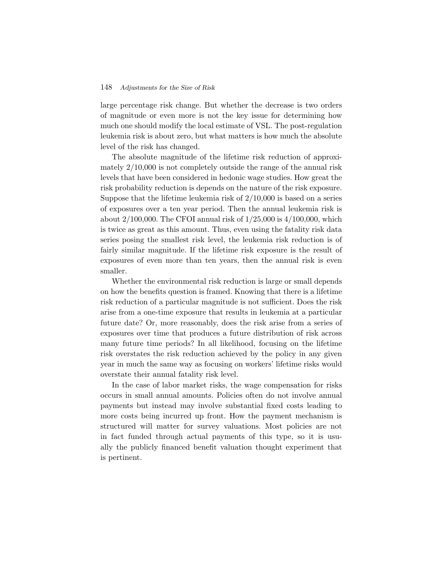#### 148 *Adjustments for the Size of Risk*

large percentage risk change. But whether the decrease is two orders of magnitude or even more is not the key issue for determining how much one should modify the local estimate of VSL. The post-regulation leukemia risk is about zero, but what matters is how much the absolute level of the risk has changed.

The absolute magnitude of the lifetime risk reduction of approximately 2/10,000 is not completely outside the range of the annual risk levels that have been considered in hedonic wage studies. How great the risk probability reduction is depends on the nature of the risk exposure. Suppose that the lifetime leukemia risk of  $2/10,000$  is based on a series of exposures over a ten year period. Then the annual leukemia risk is about  $2/100,000$ . The CFOI annual risk of  $1/25,000$  is  $4/100,000$ , which is twice as great as this amount. Thus, even using the fatality risk data series posing the smallest risk level, the leukemia risk reduction is of fairly similar magnitude. If the lifetime risk exposure is the result of exposures of even more than ten years, then the annual risk is even smaller.

Whether the environmental risk reduction is large or small depends on how the benefits question is framed. Knowing that there is a lifetime risk reduction of a particular magnitude is not sufficient. Does the risk arise from a one-time exposure that results in leukemia at a particular future date? Or, more reasonably, does the risk arise from a series of exposures over time that produces a future distribution of risk across many future time periods? In all likelihood, focusing on the lifetime risk overstates the risk reduction achieved by the policy in any given year in much the same way as focusing on workers' lifetime risks would overstate their annual fatality risk level.

In the case of labor market risks, the wage compensation for risks occurs in small annual amounts. Policies often do not involve annual payments but instead may involve substantial fixed costs leading to more costs being incurred up front. How the payment mechanism is structured will matter for survey valuations. Most policies are not in fact funded through actual payments of this type, so it is usually the publicly financed benefit valuation thought experiment that is pertinent.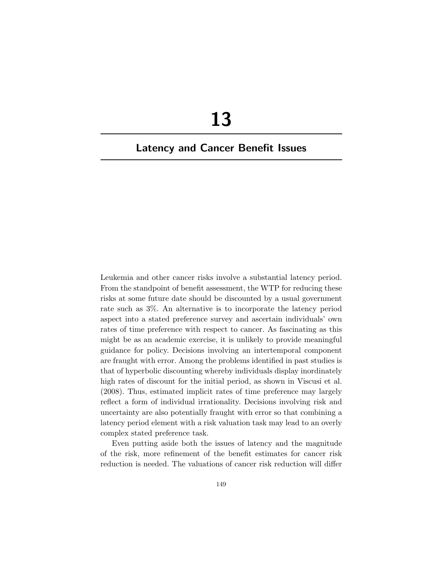### **Latency and Cancer Benefit Issues**

Leukemia and other cancer risks involve a substantial latency period. From the standpoint of benefit assessment, the WTP for reducing these risks at some future date should be discounted by a usual government rate such as 3%. An alternative is to incorporate the latency period aspect into a stated preference survey and ascertain individuals' own rates of time preference with respect to cancer. As fascinating as this might be as an academic exercise, it is unlikely to provide meaningful guidance for policy. Decisions involving an intertemporal component are fraught with error. Among the problems identified in past studies is that of hyperbolic discounting whereby individuals display inordinately high rates of discount for the initial period, as shown in Viscusi et al. (2008). Thus, estimated implicit rates of time preference may largely reflect a form of individual irrationality. Decisions involving risk and uncertainty are also potentially fraught with error so that combining a latency period element with a risk valuation task may lead to an overly complex stated preference task.

Even putting aside both the issues of latency and the magnitude of the risk, more refinement of the benefit estimates for cancer risk reduction is needed. The valuations of cancer risk reduction will differ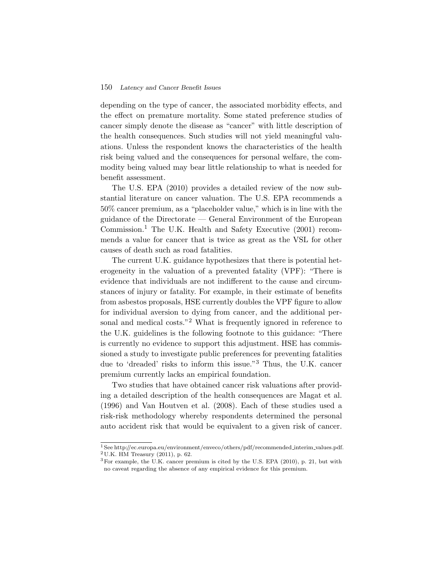#### 150 *Latency and Cancer Benefit Issues*

depending on the type of cancer, the associated morbidity effects, and the effect on premature mortality. Some stated preference studies of cancer simply denote the disease as "cancer" with little description of the health consequences. Such studies will not yield meaningful valuations. Unless the respondent knows the characteristics of the health risk being valued and the consequences for personal welfare, the commodity being valued may bear little relationship to what is needed for benefit assessment.

The U.S. EPA (2010) provides a detailed review of the now substantial literature on cancer valuation. The U.S. EPA recommends a 50% cancer premium, as a "placeholder value," which is in line with the guidance of the Directorate — General Environment of the European Commission.<sup>1</sup> The U.K. Health and Safety Executive (2001) recommends a value for cancer that is twice as great as the VSL for other causes of death such as road fatalities.

The current U.K. guidance hypothesizes that there is potential heterogeneity in the valuation of a prevented fatality (VPF): "There is evidence that individuals are not indifferent to the cause and circumstances of injury or fatality. For example, in their estimate of benefits from asbestos proposals, HSE currently doubles the VPF figure to allow for individual aversion to dying from cancer, and the additional personal and medical costs."<sup>2</sup> What is frequently ignored in reference to the U.K. guidelines is the following footnote to this guidance: "There is currently no evidence to support this adjustment. HSE has commissioned a study to investigate public preferences for preventing fatalities due to 'dreaded' risks to inform this issue."<sup>3</sup> Thus, the U.K. cancer premium currently lacks an empirical foundation.

Two studies that have obtained cancer risk valuations after providing a detailed description of the health consequences are Magat et al. (1996) and Van Houtven et al. (2008). Each of these studies used a risk-risk methodology whereby respondents determined the personal auto accident risk that would be equivalent to a given risk of cancer.

 $^1$  See http://ec.europa.eu/environment/enveco/others/pdf/recommended\_interim\_values.pdf.  $^2$  U.K. HM Treasury (2011), p. 62.

<sup>3</sup>For example, the U.K. cancer premium is cited by the U.S. EPA (2010), p. 21, but with no caveat regarding the absence of any empirical evidence for this premium.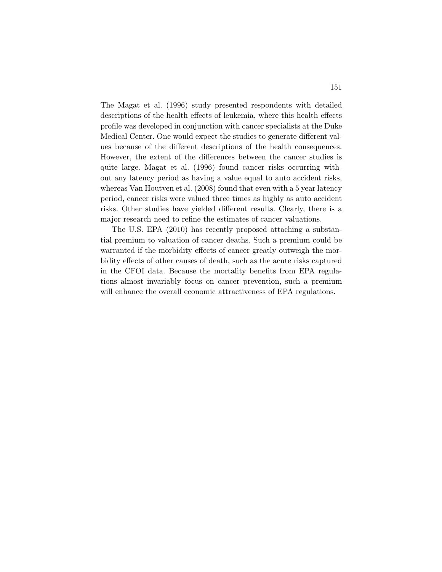The Magat et al. (1996) study presented respondents with detailed descriptions of the health effects of leukemia, where this health effects profile was developed in conjunction with cancer specialists at the Duke Medical Center. One would expect the studies to generate different values because of the different descriptions of the health consequences. However, the extent of the differences between the cancer studies is quite large. Magat et al. (1996) found cancer risks occurring without any latency period as having a value equal to auto accident risks, whereas Van Houtven et al. (2008) found that even with a 5 year latency period, cancer risks were valued three times as highly as auto accident risks. Other studies have yielded different results. Clearly, there is a major research need to refine the estimates of cancer valuations.

The U.S. EPA (2010) has recently proposed attaching a substantial premium to valuation of cancer deaths. Such a premium could be warranted if the morbidity effects of cancer greatly outweigh the morbidity effects of other causes of death, such as the acute risks captured in the CFOI data. Because the mortality benefits from EPA regulations almost invariably focus on cancer prevention, such a premium will enhance the overall economic attractiveness of EPA regulations.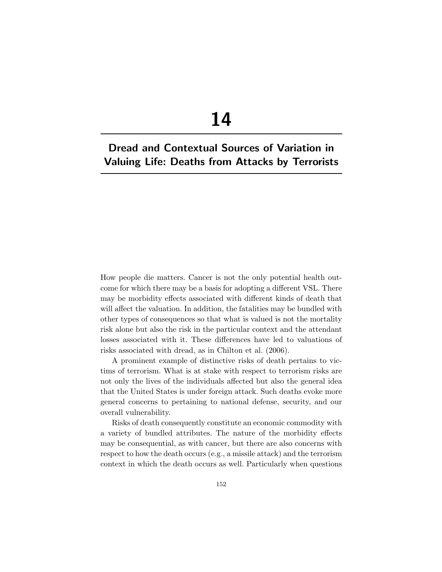## **Dread and Contextual Sources of Variation in Valuing Life: Deaths from Attacks by Terrorists**

How people die matters. Cancer is not the only potential health outcome for which there may be a basis for adopting a different VSL. There may be morbidity effects associated with different kinds of death that will affect the valuation. In addition, the fatalities may be bundled with other types of consequences so that what is valued is not the mortality risk alone but also the risk in the particular context and the attendant losses associated with it. These differences have led to valuations of risks associated with dread, as in Chilton et al. (2006).

A prominent example of distinctive risks of death pertains to victims of terrorism. What is at stake with respect to terrorism risks are not only the lives of the individuals affected but also the general idea that the United States is under foreign attack. Such deaths evoke more general concerns to pertaining to national defense, security, and our overall vulnerability.

Risks of death consequently constitute an economic commodity with a variety of bundled attributes. The nature of the morbidity effects may be consequential, as with cancer, but there are also concerns with respect to how the death occurs (e.g., a missile attack) and the terrorism context in which the death occurs as well. Particularly when questions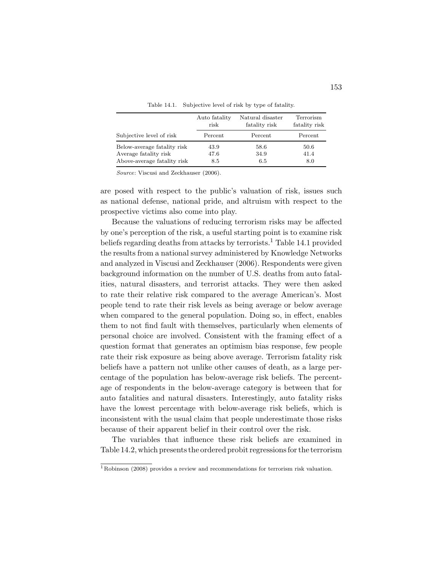|                             | Auto fatality<br>risk | Natural disaster<br>fatality risk | Terrorism<br>fatality risk |
|-----------------------------|-----------------------|-----------------------------------|----------------------------|
| Subjective level of risk    | Percent               | Percent                           | Percent                    |
| Below-average fatality risk | 43.9                  | 58.6                              | 50.6                       |
| Average fatality risk       | 47.6                  | 34.9                              | 41.4                       |
| Above-average fatality risk | 8.5                   | 6.5                               | 8.0                        |

Table 14.1. Subjective level of risk by type of fatality.

Source: Viscusi and Zeckhauser (2006).

are posed with respect to the public's valuation of risk, issues such as national defense, national pride, and altruism with respect to the prospective victims also come into play.

Because the valuations of reducing terrorism risks may be affected by one's perception of the risk, a useful starting point is to examine risk beliefs regarding deaths from attacks by terrorists.<sup>1</sup> Table 14.1 provided the results from a national survey administered by Knowledge Networks and analyzed in Viscusi and Zeckhauser (2006). Respondents were given background information on the number of U.S. deaths from auto fatalities, natural disasters, and terrorist attacks. They were then asked to rate their relative risk compared to the average American's. Most people tend to rate their risk levels as being average or below average when compared to the general population. Doing so, in effect, enables them to not find fault with themselves, particularly when elements of personal choice are involved. Consistent with the framing effect of a question format that generates an optimism bias response, few people rate their risk exposure as being above average. Terrorism fatality risk beliefs have a pattern not unlike other causes of death, as a large percentage of the population has below-average risk beliefs. The percentage of respondents in the below-average category is between that for auto fatalities and natural disasters. Interestingly, auto fatality risks have the lowest percentage with below-average risk beliefs, which is inconsistent with the usual claim that people underestimate those risks because of their apparent belief in their control over the risk.

The variables that influence these risk beliefs are examined in Table 14.2, which presents the ordered probit regressions for the terrorism

<sup>1</sup> Robinson (2008) provides a review and recommendations for terrorism risk valuation.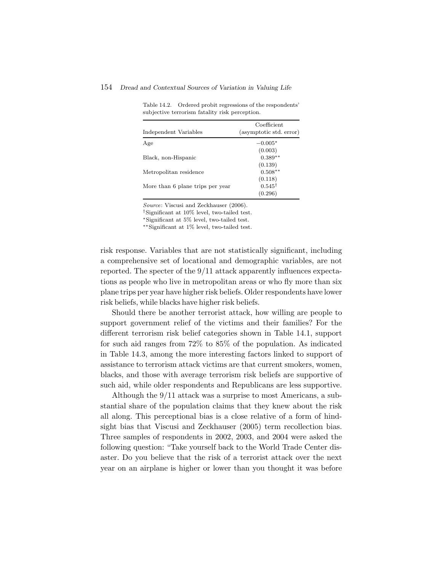#### 154 *Dread and Contextual Sources of Variation in Valuing Life*

Table 14.2. Ordered probit regressions of the respondents' subjective terrorism fatality risk perception.

| Independent Variables            | Coefficient<br>(asymptotic std. error) |
|----------------------------------|----------------------------------------|
| Age                              | $-0.005*$                              |
|                                  | (0.003)                                |
| Black, non-Hispanic              | $0.389**$                              |
|                                  | (0.139)                                |
| Metropolitan residence           | $0.508**$                              |
|                                  | (0.118)                                |
| More than 6 plane trips per year | $0.545^{\dagger}$                      |
|                                  | (0.296)                                |

Source: Viscusi and Zeckhauser (2006).

†Significant at 10% level, two-tailed test.

∗Significant at 5% level, two-tailed test.

∗∗Significant at 1% level, two-tailed test.

risk response. Variables that are not statistically significant, including a comprehensive set of locational and demographic variables, are not reported. The specter of the 9/11 attack apparently influences expectations as people who live in metropolitan areas or who fly more than six plane trips per year have higher risk beliefs. Older respondents have lower risk beliefs, while blacks have higher risk beliefs.

Should there be another terrorist attack, how willing are people to support government relief of the victims and their families? For the different terrorism risk belief categories shown in Table 14.1, support for such aid ranges from 72% to 85% of the population. As indicated in Table 14.3, among the more interesting factors linked to support of assistance to terrorism attack victims are that current smokers, women, blacks, and those with average terrorism risk beliefs are supportive of such aid, while older respondents and Republicans are less supportive.

Although the 9/11 attack was a surprise to most Americans, a substantial share of the population claims that they knew about the risk all along. This perceptional bias is a close relative of a form of hindsight bias that Viscusi and Zeckhauser (2005) term recollection bias. Three samples of respondents in 2002, 2003, and 2004 were asked the following question: "Take yourself back to the World Trade Center disaster. Do you believe that the risk of a terrorist attack over the next year on an airplane is higher or lower than you thought it was before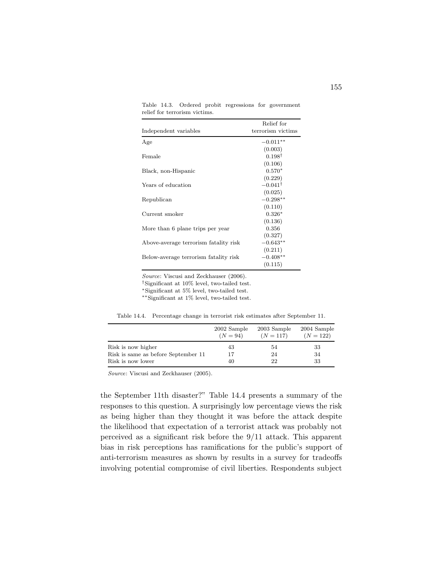| Independent variables                 | Relief for<br>terrorism victims |
|---------------------------------------|---------------------------------|
| Age                                   | $-0.011**$                      |
|                                       | (0.003)                         |
| Female                                | $0.198^{\dagger}$               |
|                                       | (0.106)                         |
| Black, non-Hispanic                   | $0.570*$                        |
|                                       | (0.229)                         |
| Years of education                    | $-0.041^{\dagger}$              |
|                                       | (0.025)                         |
| Republican                            | $-0.298**$                      |
|                                       | (0.110)                         |
| Current smoker                        | $0.326*$                        |
|                                       | (0.136)                         |
| More than 6 plane trips per year      | 0.356                           |
|                                       | (0.327)                         |
| Above-average terrorism fatality risk | $-0.643**$                      |
|                                       | (0.211)                         |
| Below-average terrorism fatality risk | $-0.408**$                      |
|                                       | (0.115)                         |

Table 14.3. Ordered probit regressions for government relief for terrorism victims.

Source: Viscusi and Zeckhauser (2006).

†Significant at 10% level, two-tailed test.

∗Significant at 5% level, two-tailed test.

∗∗Significant at 1% level, two-tailed test.

Table 14.4. Percentage change in terrorist risk estimates after September 11.

|                                     | 2002 Sample<br>$(N = 94)$ | 2003 Sample<br>$(N = 117)$ | 2004 Sample<br>$(N = 122)$ |
|-------------------------------------|---------------------------|----------------------------|----------------------------|
| Risk is now higher                  | 43                        | 54                         | 33                         |
| Risk is same as before September 11 | 17                        | 24                         | 34                         |
| Risk is now lower                   | 40                        | 22                         | 33                         |

Source: Viscusi and Zeckhauser (2005).

the September 11th disaster?" Table 14.4 presents a summary of the responses to this question. A surprisingly low percentage views the risk as being higher than they thought it was before the attack despite the likelihood that expectation of a terrorist attack was probably not perceived as a significant risk before the 9/11 attack. This apparent bias in risk perceptions has ramifications for the public's support of anti-terrorism measures as shown by results in a survey for tradeoffs involving potential compromise of civil liberties. Respondents subject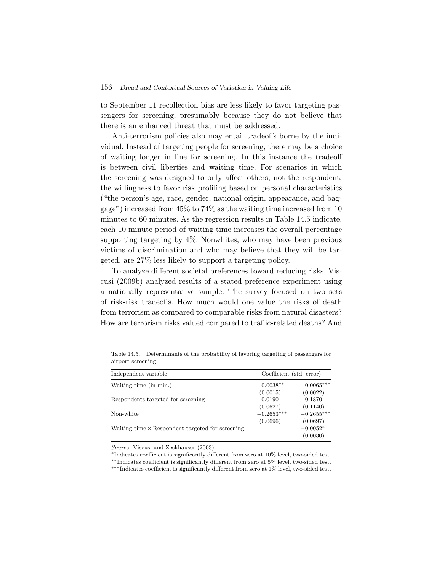#### 156 *Dread and Contextual Sources of Variation in Valuing Life*

to September 11 recollection bias are less likely to favor targeting passengers for screening, presumably because they do not believe that there is an enhanced threat that must be addressed.

Anti-terrorism policies also may entail tradeoffs borne by the individual. Instead of targeting people for screening, there may be a choice of waiting longer in line for screening. In this instance the tradeoff is between civil liberties and waiting time. For scenarios in which the screening was designed to only affect others, not the respondent, the willingness to favor risk profiling based on personal characteristics ("the person's age, race, gender, national origin, appearance, and baggage") increased from 45% to 74% as the waiting time increased from 10 minutes to 60 minutes. As the regression results in Table 14.5 indicate, each 10 minute period of waiting time increases the overall percentage supporting targeting by 4%. Nonwhites, who may have been previous victims of discrimination and who may believe that they will be targeted, are 27% less likely to support a targeting policy.

To analyze different societal preferences toward reducing risks, Viscusi (2009b) analyzed results of a stated preference experiment using a nationally representative sample. The survey focused on two sets of risk-risk tradeoffs. How much would one value the risks of death from terrorism as compared to comparable risks from natural disasters? How are terrorism risks valued compared to traffic-related deaths? And

| Independent variable                                    | Coefficient (std. error) |                                    |  |
|---------------------------------------------------------|--------------------------|------------------------------------|--|
| Waiting time (in min.)                                  | $0.0038**$<br>(0.0015)   | $0.0065***$<br>(0.0022)            |  |
| Respondents targeted for screening                      | 0.0190                   | 0.1870                             |  |
| Non-white                                               | (0.0627)<br>$-0.2653***$ | (0.1140)<br>$-0.2655***$           |  |
| Waiting time $\times$ Respondent targeted for screening | (0.0696)                 | (0.0697)<br>$-0.0052*$<br>(0.0030) |  |

Table 14.5. Determinants of the probability of favoring targeting of passengers for airport screening.

Source: Viscusi and Zeckhauser (2003).

∗Indicates coefficient is significantly different from zero at 10% level, two-sided test.

<sup>∗∗</sup>Indicates coefficient is significantly different from zero at 5% level, two-sided test. ∗∗∗Indicates coefficient is significantly different from zero at 1% level, two-sided test.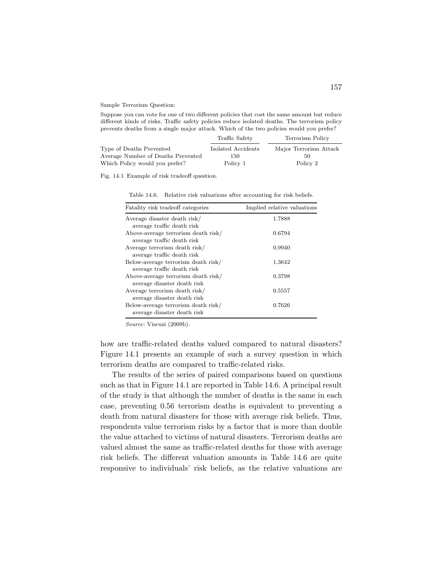#### Sample Terrorism Question:

Suppose you can vote for one of two different policies that cost the same amount but reduce different kinds of risks. Traffic safety policies reduce isolated deaths. The terrorism policy prevents deaths from a single major attack. Which of the two policies would you prefer?

| Traffic Safety                     |                    | Terrorism Policy       |  |  |
|------------------------------------|--------------------|------------------------|--|--|
| Type of Deaths Prevented           | Isolated Accidents | Major Terrorism Attack |  |  |
| Average Number of Deaths Prevented | 150                | 50                     |  |  |
| Which Policy would you prefer?     | Policy 1           | Policy 2               |  |  |

Fig. 14.1 Example of risk tradeoff question.

| Table 14.6. Relative risk valuations after accounting for risk beliefs. |  |  |  |
|-------------------------------------------------------------------------|--|--|--|
|                                                                         |  |  |  |

| Fatality risk tradeoff categories   | Implied relative valuations |
|-------------------------------------|-----------------------------|
| Average disaster death risk/        | 1.7888                      |
| average traffic death risk          |                             |
| Above-average terrorism death risk/ | 0.6794                      |
| average traffic death risk          |                             |
| Average terrorism death risk/       | 0.9940                      |
| average traffic death risk          |                             |
| Below-average terrorism death risk/ | 1.3642                      |
| average traffic death risk          |                             |
| Above-average terrorism death risk/ | 0.3798                      |
| average disaster death risk         |                             |
| Average terrorism death risk/       | 0.5557                      |
| average disaster death risk         |                             |
| Below-average terrorism death risk/ | 0.7626                      |
| average disaster death risk         |                             |

Source: Viscusi (2009b).

how are traffic-related deaths valued compared to natural disasters? Figure 14.1 presents an example of such a survey question in which terrorism deaths are compared to traffic-related risks.

The results of the series of paired comparisons based on questions such as that in Figure 14.1 are reported in Table 14.6. A principal result of the study is that although the number of deaths is the same in each case, preventing 0.56 terrorism deaths is equivalent to preventing a death from natural disasters for those with average risk beliefs. Thus, respondents value terrorism risks by a factor that is more than double the value attached to victims of natural disasters. Terrorism deaths are valued almost the same as traffic-related deaths for those with average risk beliefs. The different valuation amounts in Table 14.6 are quite responsive to individuals' risk beliefs, as the relative valuations are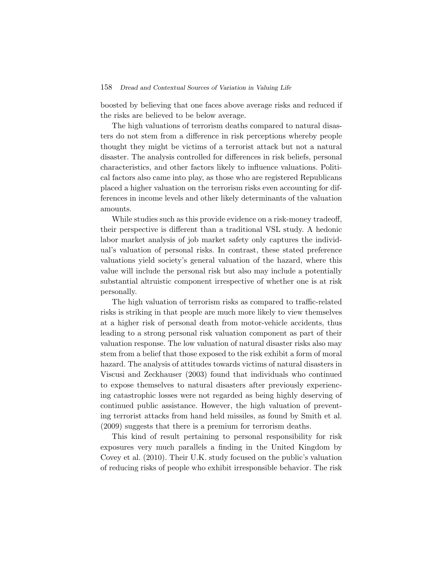#### 158 *Dread and Contextual Sources of Variation in Valuing Life*

boosted by believing that one faces above average risks and reduced if the risks are believed to be below average.

The high valuations of terrorism deaths compared to natural disasters do not stem from a difference in risk perceptions whereby people thought they might be victims of a terrorist attack but not a natural disaster. The analysis controlled for differences in risk beliefs, personal characteristics, and other factors likely to influence valuations. Political factors also came into play, as those who are registered Republicans placed a higher valuation on the terrorism risks even accounting for differences in income levels and other likely determinants of the valuation amounts.

While studies such as this provide evidence on a risk-money tradeoff, their perspective is different than a traditional VSL study. A hedonic labor market analysis of job market safety only captures the individual's valuation of personal risks. In contrast, these stated preference valuations yield society's general valuation of the hazard, where this value will include the personal risk but also may include a potentially substantial altruistic component irrespective of whether one is at risk personally.

The high valuation of terrorism risks as compared to traffic-related risks is striking in that people are much more likely to view themselves at a higher risk of personal death from motor-vehicle accidents, thus leading to a strong personal risk valuation component as part of their valuation response. The low valuation of natural disaster risks also may stem from a belief that those exposed to the risk exhibit a form of moral hazard. The analysis of attitudes towards victims of natural disasters in Viscusi and Zeckhauser (2003) found that individuals who continued to expose themselves to natural disasters after previously experiencing catastrophic losses were not regarded as being highly deserving of continued public assistance. However, the high valuation of preventing terrorist attacks from hand held missiles, as found by Smith et al. (2009) suggests that there is a premium for terrorism deaths.

This kind of result pertaining to personal responsibility for risk exposures very much parallels a finding in the United Kingdom by Covey et al. (2010). Their U.K. study focused on the public's valuation of reducing risks of people who exhibit irresponsible behavior. The risk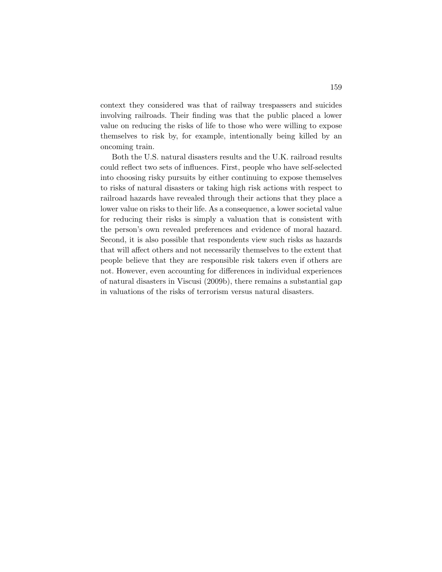context they considered was that of railway trespassers and suicides involving railroads. Their finding was that the public placed a lower value on reducing the risks of life to those who were willing to expose themselves to risk by, for example, intentionally being killed by an oncoming train.

Both the U.S. natural disasters results and the U.K. railroad results could reflect two sets of influences. First, people who have self-selected into choosing risky pursuits by either continuing to expose themselves to risks of natural disasters or taking high risk actions with respect to railroad hazards have revealed through their actions that they place a lower value on risks to their life. As a consequence, a lower societal value for reducing their risks is simply a valuation that is consistent with the person's own revealed preferences and evidence of moral hazard. Second, it is also possible that respondents view such risks as hazards that will affect others and not necessarily themselves to the extent that people believe that they are responsible risk takers even if others are not. However, even accounting for differences in individual experiences of natural disasters in Viscusi (2009b), there remains a substantial gap in valuations of the risks of terrorism versus natural disasters.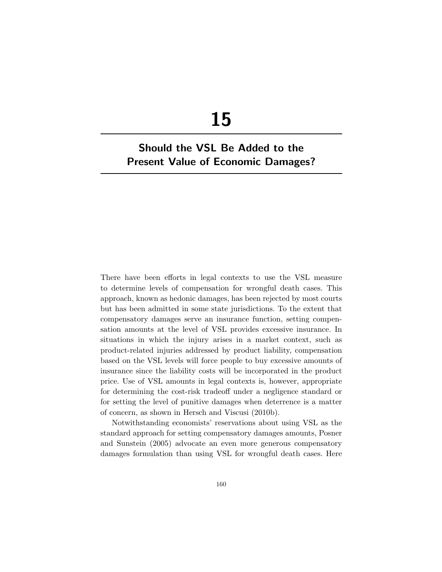## **Should the VSL Be Added to the Present Value of Economic Damages?**

There have been efforts in legal contexts to use the VSL measure to determine levels of compensation for wrongful death cases. This approach, known as hedonic damages, has been rejected by most courts but has been admitted in some state jurisdictions. To the extent that compensatory damages serve an insurance function, setting compensation amounts at the level of VSL provides excessive insurance. In situations in which the injury arises in a market context, such as product-related injuries addressed by product liability, compensation based on the VSL levels will force people to buy excessive amounts of insurance since the liability costs will be incorporated in the product price. Use of VSL amounts in legal contexts is, however, appropriate for determining the cost-risk tradeoff under a negligence standard or for setting the level of punitive damages when deterrence is a matter of concern, as shown in Hersch and Viscusi (2010b).

Notwithstanding economists' reservations about using VSL as the standard approach for setting compensatory damages amounts, Posner and Sunstein (2005) advocate an even more generous compensatory damages formulation than using VSL for wrongful death cases. Here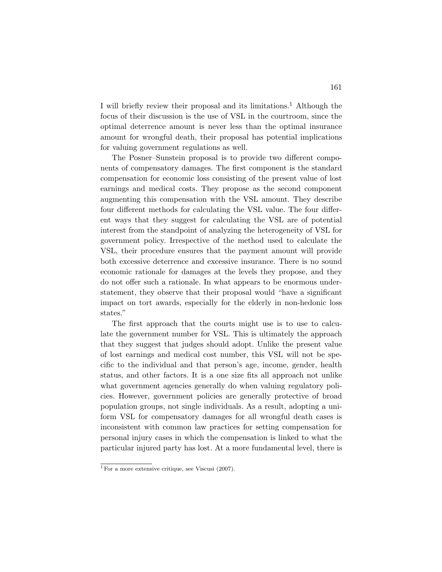I will briefly review their proposal and its limitations.<sup>1</sup> Although the focus of their discussion is the use of VSL in the courtroom, since the optimal deterrence amount is never less than the optimal insurance amount for wrongful death, their proposal has potential implications for valuing government regulations as well.

The Posner–Sunstein proposal is to provide two different components of compensatory damages. The first component is the standard compensation for economic loss consisting of the present value of lost earnings and medical costs. They propose as the second component augmenting this compensation with the VSL amount. They describe four different methods for calculating the VSL value. The four different ways that they suggest for calculating the VSL are of potential interest from the standpoint of analyzing the heterogeneity of VSL for government policy. Irrespective of the method used to calculate the VSL, their procedure ensures that the payment amount will provide both excessive deterrence and excessive insurance. There is no sound economic rationale for damages at the levels they propose, and they do not offer such a rationale. In what appears to be enormous understatement, they observe that their proposal would "have a significant impact on tort awards, especially for the elderly in non-hedonic loss states."

The first approach that the courts might use is to use to calculate the government number for VSL. This is ultimately the approach that they suggest that judges should adopt. Unlike the present value of lost earnings and medical cost number, this VSL will not be specific to the individual and that person's age, income, gender, health status, and other factors. It is a one size fits all approach not unlike what government agencies generally do when valuing regulatory policies. However, government policies are generally protective of broad population groups, not single individuals. As a result, adopting a uniform VSL for compensatory damages for all wrongful death cases is inconsistent with common law practices for setting compensation for personal injury cases in which the compensation is linked to what the particular injured party has lost. At a more fundamental level, there is

<sup>&</sup>lt;sup>1</sup> For a more extensive critique, see Viscusi (2007).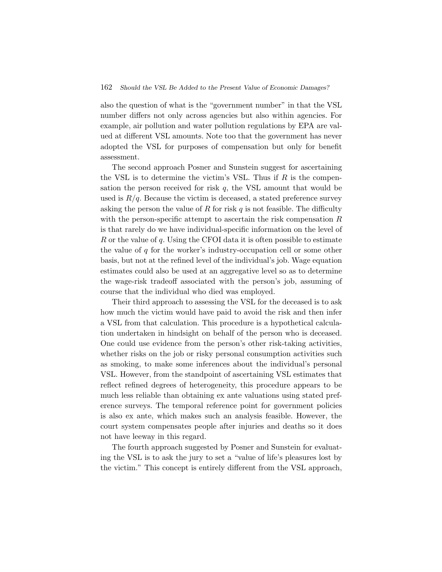#### 162 *Should the VSL Be Added to the Present Value of Economic Damages?*

also the question of what is the "government number" in that the VSL number differs not only across agencies but also within agencies. For example, air pollution and water pollution regulations by EPA are valued at different VSL amounts. Note too that the government has never adopted the VSL for purposes of compensation but only for benefit assessment.

The second approach Posner and Sunstein suggest for ascertaining the VSL is to determine the victim's VSL. Thus if  $R$  is the compensation the person received for risk  $q$ , the VSL amount that would be used is  $R/q$ . Because the victim is deceased, a stated preference survey asking the person the value of R for risk  $q$  is not feasible. The difficulty with the person-specific attempt to ascertain the risk compensation  $R$ is that rarely do we have individual-specific information on the level of R or the value of q. Using the CFOI data it is often possible to estimate the value of  $q$  for the worker's industry-occupation cell or some other basis, but not at the refined level of the individual's job. Wage equation estimates could also be used at an aggregative level so as to determine the wage-risk tradeoff associated with the person's job, assuming of course that the individual who died was employed.

Their third approach to assessing the VSL for the deceased is to ask how much the victim would have paid to avoid the risk and then infer a VSL from that calculation. This procedure is a hypothetical calculation undertaken in hindsight on behalf of the person who is deceased. One could use evidence from the person's other risk-taking activities, whether risks on the job or risky personal consumption activities such as smoking, to make some inferences about the individual's personal VSL. However, from the standpoint of ascertaining VSL estimates that reflect refined degrees of heterogeneity, this procedure appears to be much less reliable than obtaining ex ante valuations using stated preference surveys. The temporal reference point for government policies is also ex ante, which makes such an analysis feasible. However, the court system compensates people after injuries and deaths so it does not have leeway in this regard.

The fourth approach suggested by Posner and Sunstein for evaluating the VSL is to ask the jury to set a "value of life's pleasures lost by the victim." This concept is entirely different from the VSL approach,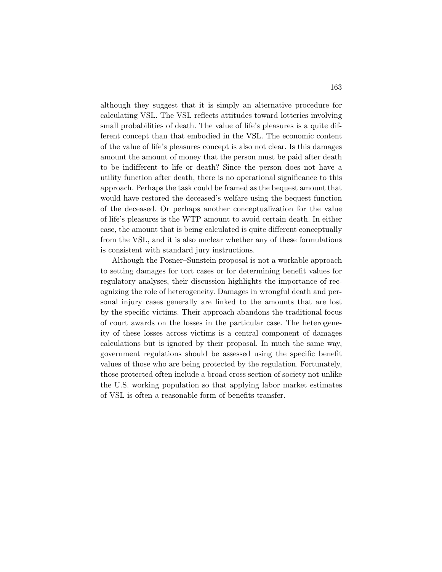although they suggest that it is simply an alternative procedure for calculating VSL. The VSL reflects attitudes toward lotteries involving small probabilities of death. The value of life's pleasures is a quite different concept than that embodied in the VSL. The economic content of the value of life's pleasures concept is also not clear. Is this damages amount the amount of money that the person must be paid after death to be indifferent to life or death? Since the person does not have a utility function after death, there is no operational significance to this approach. Perhaps the task could be framed as the bequest amount that would have restored the deceased's welfare using the bequest function of the deceased. Or perhaps another conceptualization for the value of life's pleasures is the WTP amount to avoid certain death. In either case, the amount that is being calculated is quite different conceptually from the VSL, and it is also unclear whether any of these formulations is consistent with standard jury instructions.

Although the Posner–Sunstein proposal is not a workable approach to setting damages for tort cases or for determining benefit values for regulatory analyses, their discussion highlights the importance of recognizing the role of heterogeneity. Damages in wrongful death and personal injury cases generally are linked to the amounts that are lost by the specific victims. Their approach abandons the traditional focus of court awards on the losses in the particular case. The heterogeneity of these losses across victims is a central component of damages calculations but is ignored by their proposal. In much the same way, government regulations should be assessed using the specific benefit values of those who are being protected by the regulation. Fortunately, those protected often include a broad cross section of society not unlike the U.S. working population so that applying labor market estimates of VSL is often a reasonable form of benefits transfer.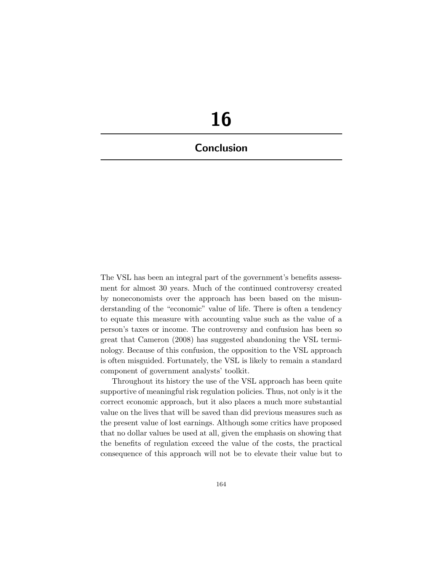## **Conclusion**

The VSL has been an integral part of the government's benefits assessment for almost 30 years. Much of the continued controversy created by noneconomists over the approach has been based on the misunderstanding of the "economic" value of life. There is often a tendency to equate this measure with accounting value such as the value of a person's taxes or income. The controversy and confusion has been so great that Cameron (2008) has suggested abandoning the VSL terminology. Because of this confusion, the opposition to the VSL approach is often misguided. Fortunately, the VSL is likely to remain a standard component of government analysts' toolkit.

Throughout its history the use of the VSL approach has been quite supportive of meaningful risk regulation policies. Thus, not only is it the correct economic approach, but it also places a much more substantial value on the lives that will be saved than did previous measures such as the present value of lost earnings. Although some critics have proposed that no dollar values be used at all, given the emphasis on showing that the benefits of regulation exceed the value of the costs, the practical consequence of this approach will not be to elevate their value but to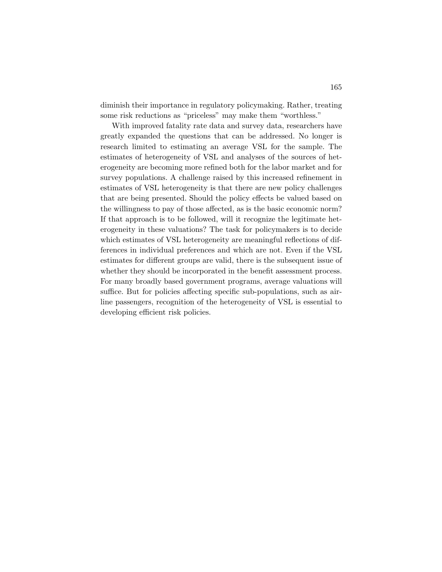diminish their importance in regulatory policymaking. Rather, treating some risk reductions as "priceless" may make them "worthless."

With improved fatality rate data and survey data, researchers have greatly expanded the questions that can be addressed. No longer is research limited to estimating an average VSL for the sample. The estimates of heterogeneity of VSL and analyses of the sources of heterogeneity are becoming more refined both for the labor market and for survey populations. A challenge raised by this increased refinement in estimates of VSL heterogeneity is that there are new policy challenges that are being presented. Should the policy effects be valued based on the willingness to pay of those affected, as is the basic economic norm? If that approach is to be followed, will it recognize the legitimate heterogeneity in these valuations? The task for policymakers is to decide which estimates of VSL heterogeneity are meaningful reflections of differences in individual preferences and which are not. Even if the VSL estimates for different groups are valid, there is the subsequent issue of whether they should be incorporated in the benefit assessment process. For many broadly based government programs, average valuations will suffice. But for policies affecting specific sub-populations, such as airline passengers, recognition of the heterogeneity of VSL is essential to developing efficient risk policies.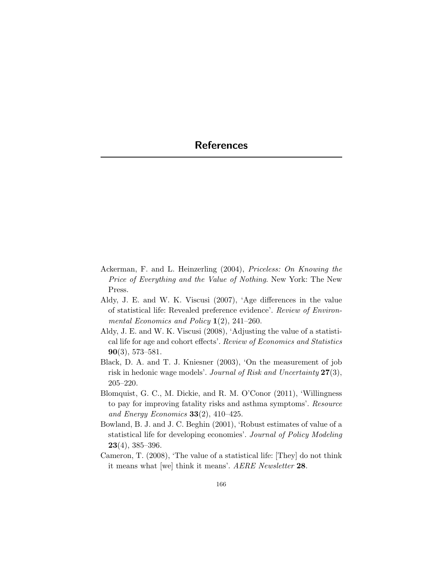### **References**

- Ackerman, F. and L. Heinzerling (2004), *Priceless: On Knowing the Price of Everything and the Value of Nothing*. New York: The New Press.
- Aldy, J. E. and W. K. Viscusi (2007), 'Age differences in the value of statistical life: Revealed preference evidence'. *Review of Environmental Economics and Policy* **1**(2), 241–260.
- Aldy, J. E. and W. K. Viscusi (2008), 'Adjusting the value of a statistical life for age and cohort effects'. *Review of Economics and Statistics* **90**(3), 573–581.
- Black, D. A. and T. J. Kniesner (2003), 'On the measurement of job risk in hedonic wage models'. *Journal of Risk and Uncertainty* **27**(3), 205–220.
- Blomquist, G. C., M. Dickie, and R. M. O'Conor (2011), 'Willingness to pay for improving fatality risks and asthma symptoms'. *Resource and Energy Economics* **33**(2), 410–425.
- Bowland, B. J. and J. C. Beghin (2001), 'Robust estimates of value of a statistical life for developing economies'. *Journal of Policy Modeling* **23**(4), 385–396.
- Cameron, T. (2008), 'The value of a statistical life: [They] do not think it means what [we] think it means'. *AERE Newsletter* **28**.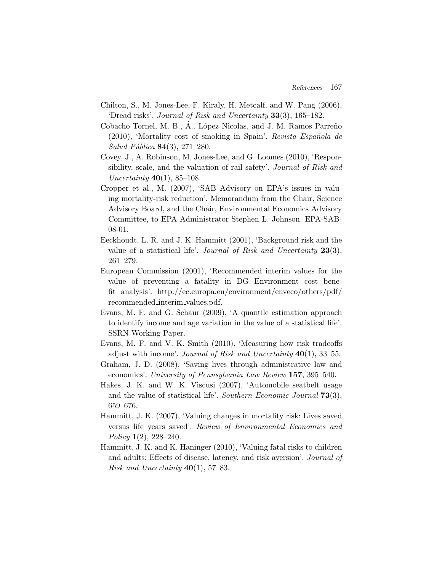- Chilton, S., M. Jones-Lee, F. Kiraly, H. Metcalf, and W. Pang (2006), 'Dread risks'. *Journal of Risk and Uncertainty* **33**(3), 165–182.
- Cobacho Tornel, M. B., A.. López Nicolas, and J. M. Ramos Parreño (2010), 'Mortality cost of smoking in Spain'. *Revista Espa˜nola de Salud P´ublica* **84**(3), 271–280.
- Covey, J., A. Robinson, M. Jones-Lee, and G. Loomes (2010), 'Responsibility, scale, and the valuation of rail safety'. *Journal of Risk and Uncertainty* **40**(1), 85–108.
- Cropper et al., M. (2007), 'SAB Advisory on EPA's issues in valuing mortality-risk reduction'. Memorandum from the Chair, Science Advisory Board, and the Chair, Environmental Economics Advisory Committee, to EPA Administrator Stephen L. Johnson. EPA-SAB-08-01.
- Eeckhoudt, L. R. and J. K. Hammitt (2001), 'Background risk and the value of a statistical life'. *Journal of Risk and Uncertainty* **23**(3), 261–279.
- European Commission (2001), 'Recommended interim values for the value of preventing a fatality in DG Environment cost benefit analysis'. http://ec.europa.eu/environment/enveco/others/pdf/ recommended interim values.pdf.
- Evans, M. F. and G. Schaur (2009), 'A quantile estimation approach to identify income and age variation in the value of a statistical life'. SSRN Working Paper.
- Evans, M. F. and V. K. Smith (2010), 'Measuring how risk tradeoffs adjust with income'. *Journal of Risk and Uncertainty* **40**(1), 33–55.
- Graham, J. D. (2008), 'Saving lives through administrative law and economics'. *University of Pennsylvania Law Review* **157**, 395–540.
- Hakes, J. K. and W. K. Viscusi (2007), 'Automobile seatbelt usage and the value of statistical life'. *Southern Economic Journal* **73**(3), 659–676.
- Hammitt, J. K. (2007), 'Valuing changes in mortality risk: Lives saved versus life years saved'. *Review of Environmental Economics and Policy* **1**(2), 228–240.
- Hammitt, J. K. and K. Haninger (2010), 'Valuing fatal risks to children and adults: Effects of disease, latency, and risk aversion'. *Journal of Risk and Uncertainty* **40**(1), 57–83.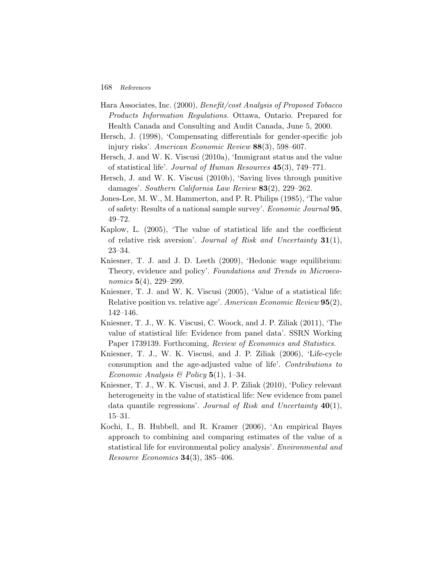#### 168 *References*

- Hara Associates, Inc. (2000), *Benefit/cost Analysis of Proposed Tobacco Products Information Regulations*. Ottawa, Ontario. Prepared for Health Canada and Consulting and Audit Canada, June 5, 2000.
- Hersch, J. (1998), 'Compensating differentials for gender-specific job injury risks'. *American Economic Review* **88**(3), 598–607.
- Hersch, J. and W. K. Viscusi (2010a), 'Immigrant status and the value of statistical life'. *Journal of Human Resources* **45**(3), 749–771.
- Hersch, J. and W. K. Viscusi (2010b), 'Saving lives through punitive damages'. *Southern California Law Review* **83**(2), 229–262.
- Jones-Lee, M. W., M. Hammerton, and P. R. Philips (1985), 'The value of safety: Results of a national sample survey'. *Economic Journal* **95**, 49–72.
- Kaplow, L. (2005), 'The value of statistical life and the coefficient of relative risk aversion'. *Journal of Risk and Uncertainty* **31**(1), 23–34.
- Kniesner, T. J. and J. D. Leeth (2009), 'Hedonic wage equilibrium: Theory, evidence and policy'. *Foundations and Trends in Microeconomics* **5**(4), 229–299.
- Kniesner, T. J. and W. K. Viscusi (2005), 'Value of a statistical life: Relative position vs. relative age'. *American Economic Review* **95**(2), 142–146.
- Kniesner, T. J., W. K. Viscusi, C. Woock, and J. P. Ziliak (2011), 'The value of statistical life: Evidence from panel data'. SSRN Working Paper 1739139. Forthcoming, *Review of Economics and Statistics*.
- Kniesner, T. J., W. K. Viscusi, and J. P. Ziliak (2006), 'Life-cycle consumption and the age-adjusted value of life'. *Contributions to Economic Analysis & Policy* **5**(1), 1–34.
- Kniesner, T. J., W. K. Viscusi, and J. P. Ziliak (2010), 'Policy relevant heterogeneity in the value of statistical life: New evidence from panel data quantile regressions'. *Journal of Risk and Uncertainty* **40**(1), 15–31.
- Kochi, I., B. Hubbell, and R. Kramer (2006), 'An empirical Bayes approach to combining and comparing estimates of the value of a statistical life for environmental policy analysis'. *Environmental and Resource Economics* **34**(3), 385–406.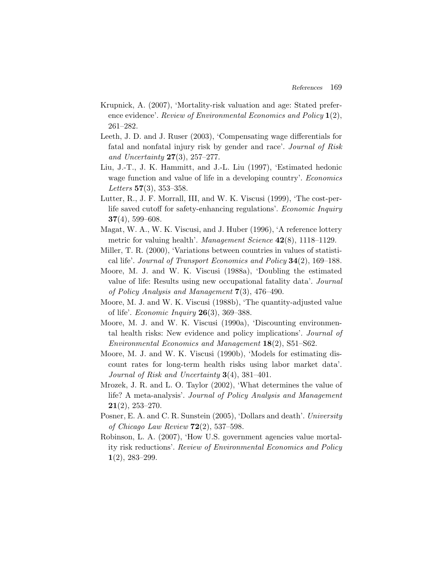- Krupnick, A. (2007), 'Mortality-risk valuation and age: Stated preference evidence'. *Review of Environmental Economics and Policy* **1**(2), 261–282.
- Leeth, J. D. and J. Ruser (2003), 'Compensating wage differentials for fatal and nonfatal injury risk by gender and race'. *Journal of Risk and Uncertainty* **27**(3), 257–277.
- Liu, J.-T., J. K. Hammitt, and J.-L. Liu (1997), 'Estimated hedonic wage function and value of life in a developing country'. *Economics Letters* **57**(3), 353–358.
- Lutter, R., J. F. Morrall, III, and W. K. Viscusi (1999), 'The cost-perlife saved cutoff for safety-enhancing regulations'. *Economic Inquiry* **37**(4), 599–608.
- Magat, W. A., W. K. Viscusi, and J. Huber (1996), 'A reference lottery metric for valuing health'. *Management Science* **42**(8), 1118–1129.
- Miller, T. R. (2000), 'Variations between countries in values of statistical life'. *Journal of Transport Economics and Policy* **34**(2), 169–188.
- Moore, M. J. and W. K. Viscusi (1988a), 'Doubling the estimated value of life: Results using new occupational fatality data'. *Journal of Policy Analysis and Management* **7**(3), 476–490.
- Moore, M. J. and W. K. Viscusi (1988b), 'The quantity-adjusted value of life'. *Economic Inquiry* **26**(3), 369–388.
- Moore, M. J. and W. K. Viscusi (1990a), 'Discounting environmental health risks: New evidence and policy implications'. *Journal of Environmental Economics and Management* **18**(2), S51–S62.
- Moore, M. J. and W. K. Viscusi (1990b), 'Models for estimating discount rates for long-term health risks using labor market data'. *Journal of Risk and Uncertainty* **3**(4), 381–401.
- Mrozek, J. R. and L. O. Taylor (2002), 'What determines the value of life? A meta-analysis'. *Journal of Policy Analysis and Management* **21**(2), 253–270.
- Posner, E. A. and C. R. Sunstein (2005), 'Dollars and death'. *University of Chicago Law Review* **72**(2), 537–598.
- Robinson, L. A. (2007), 'How U.S. government agencies value mortality risk reductions'. *Review of Environmental Economics and Policy* **1**(2), 283–299.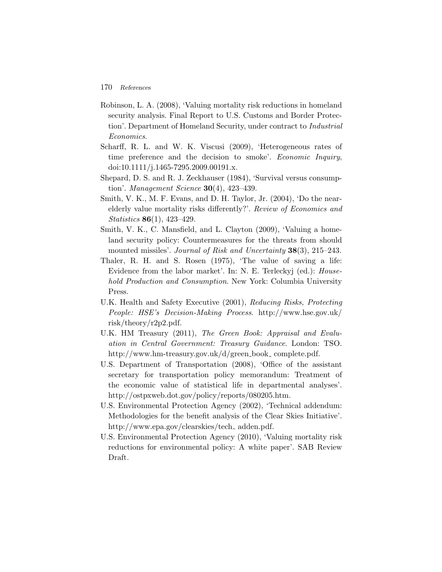## 170 *References*

- Robinson, L. A. (2008), 'Valuing mortality risk reductions in homeland security analysis. Final Report to U.S. Customs and Border Protection'. Department of Homeland Security, under contract to *Industrial Economics*.
- Scharff, R. L. and W. K. Viscusi (2009), 'Heterogeneous rates of time preference and the decision to smoke'. *Economic Inquiry*, doi:10.1111/j.1465-7295.2009.00191.x.
- Shepard, D. S. and R. J. Zeckhauser (1984), 'Survival versus consumption'. *Management Science* **30**(4), 423–439.
- Smith, V. K., M. F. Evans, and D. H. Taylor, Jr. (2004), 'Do the nearelderly value mortality risks differently?'. *Review of Economics and Statistics* **86**(1), 423–429.
- Smith, V. K., C. Mansfield, and L. Clayton (2009), 'Valuing a homeland security policy: Countermeasures for the threats from should mounted missiles'. *Journal of Risk and Uncertainty* **38**(3), 215–243.
- Thaler, R. H. and S. Rosen (1975), 'The value of saving a life: Evidence from the labor market'. In: N. E. Terleckyj (ed.): *Household Production and Consumption*. New York: Columbia University Press.
- U.K. Health and Safety Executive (2001), *Reducing Risks, Protecting People: HSE's Decision-Making Process*. http://www.hse.gov.uk/ risk/theory/r2p2.pdf.
- U.K. HM Treasury (2011), *The Green Book: Appraisal and Evaluation in Central Government: Treasury Guidance*. London: TSO. http://www.hm-treasury.gov.uk/d/green\_book\_complete.pdf.
- U.S. Department of Transportation (2008), 'Office of the assistant secretary for transportation policy memorandum: Treatment of the economic value of statistical life in departmental analyses'. http://ostpxweb.dot.gov/policy/reports/080205.htm.
- U.S. Environmental Protection Agency (2002), 'Technical addendum: Methodologies for the benefit analysis of the Clear Skies Initiative'. http://www.epa.gov/clearskies/tech\_adden.pdf.
- U.S. Environmental Protection Agency (2010), 'Valuing mortality risk reductions for environmental policy: A white paper'. SAB Review Draft.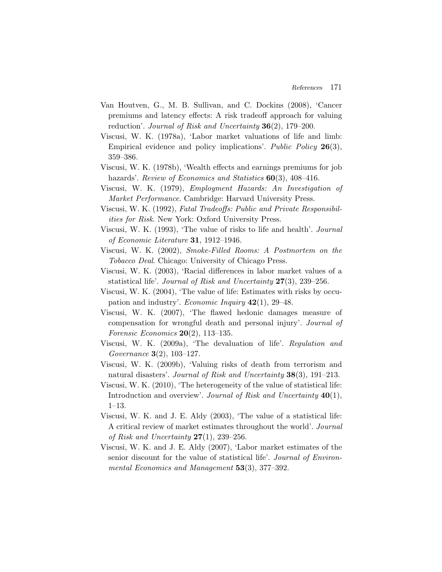- Van Houtven, G., M. B. Sullivan, and C. Dockins (2008), 'Cancer premiums and latency effects: A risk tradeoff approach for valuing reduction'. *Journal of Risk and Uncertainty* **36**(2), 179–200.
- Viscusi, W. K. (1978a), 'Labor market valuations of life and limb: Empirical evidence and policy implications'. *Public Policy* **26**(3), 359–386.
- Viscusi, W. K. (1978b), 'Wealth effects and earnings premiums for job hazards'. *Review of Economics and Statistics* **60**(3), 408–416.
- Viscusi, W. K. (1979), *Employment Hazards: An Investigation of Market Performance*. Cambridge: Harvard University Press.
- Viscusi, W. K. (1992), *Fatal Tradeoffs: Public and Private Responsibilities for Risk*. New York: Oxford University Press.
- Viscusi, W. K. (1993), 'The value of risks to life and health'. *Journal of Economic Literature* **31**, 1912–1946.
- Viscusi, W. K. (2002), *Smoke-Filled Rooms: A Postmortem on the Tobacco Deal*. Chicago: University of Chicago Press.
- Viscusi, W. K. (2003), 'Racial differences in labor market values of a statistical life'. *Journal of Risk and Uncertainty* **27**(3), 239–256.
- Viscusi, W. K. (2004), 'The value of life: Estimates with risks by occupation and industry'. *Economic Inquiry* **42**(1), 29–48.
- Viscusi, W. K. (2007), 'The flawed hedonic damages measure of compensation for wrongful death and personal injury'. *Journal of Forensic Economics* **20**(2), 113–135.
- Viscusi, W. K. (2009a), 'The devaluation of life'. *Regulation and Governance* **3**(2), 103–127.
- Viscusi, W. K. (2009b), 'Valuing risks of death from terrorism and natural disasters'. *Journal of Risk and Uncertainty* **38**(3), 191–213.
- Viscusi, W. K. (2010), 'The heterogeneity of the value of statistical life: Introduction and overview'. *Journal of Risk and Uncertainty* **40**(1), 1–13.
- Viscusi, W. K. and J. E. Aldy (2003), 'The value of a statistical life: A critical review of market estimates throughout the world'. *Journal of Risk and Uncertainty* **27**(1), 239–256.
- Viscusi, W. K. and J. E. Aldy (2007), 'Labor market estimates of the senior discount for the value of statistical life'. *Journal of Environmental Economics and Management* **53**(3), 377–392.